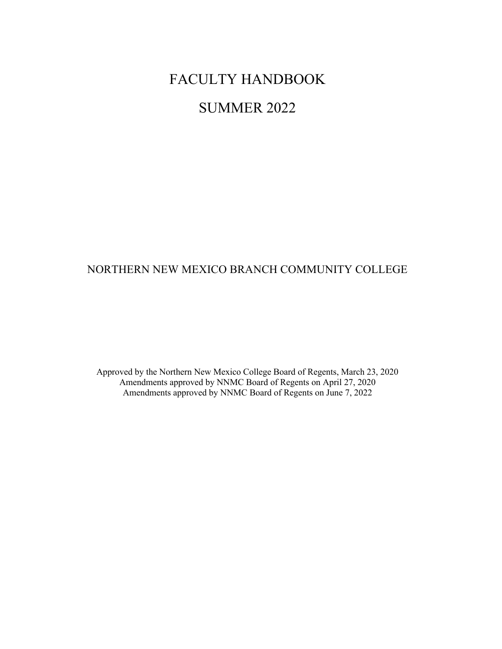# FACULTY HANDBOOK

# SUMMER 2022

# NORTHERN NEW MEXICO BRANCH COMMUNITY COLLEGE

Approved by the Northern New Mexico College Board of Regents, March 23, 2020 Amendments approved by NNMC Board of Regents on April 27, 2020 Amendments approved by NNMC Board of Regents on June 7, 2022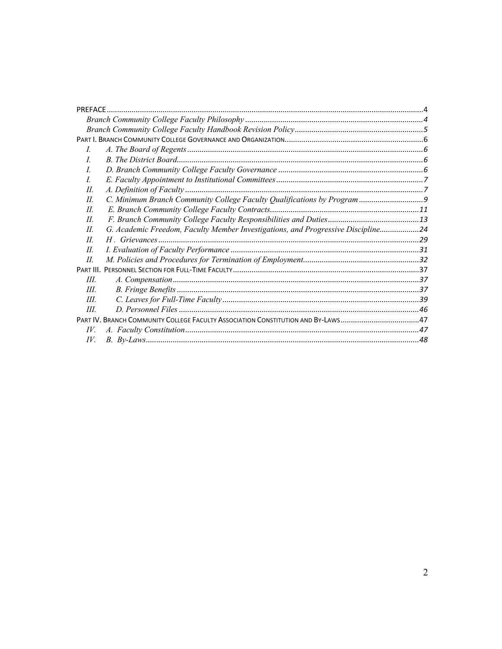| <b>PRFFACF</b>                                                                         |  |
|----------------------------------------------------------------------------------------|--|
|                                                                                        |  |
|                                                                                        |  |
|                                                                                        |  |
| $\prime$                                                                               |  |
| I                                                                                      |  |
| L                                                                                      |  |
| $\overline{L}$                                                                         |  |
| H.                                                                                     |  |
| H.                                                                                     |  |
| H.                                                                                     |  |
| II                                                                                     |  |
| G. Academic Freedom, Faculty Member Investigations, and Progressive Discipline24<br>H. |  |
| II                                                                                     |  |
| II                                                                                     |  |
| H.                                                                                     |  |
|                                                                                        |  |
| III.                                                                                   |  |
| III.                                                                                   |  |
| III.                                                                                   |  |
| Ш                                                                                      |  |
|                                                                                        |  |
| IV.                                                                                    |  |
| IV.                                                                                    |  |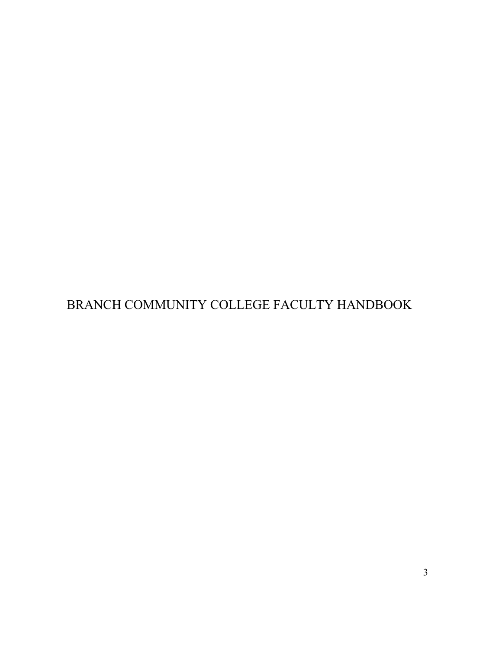BRANCH COMMUNITY COLLEGE FACULTY HANDBOOK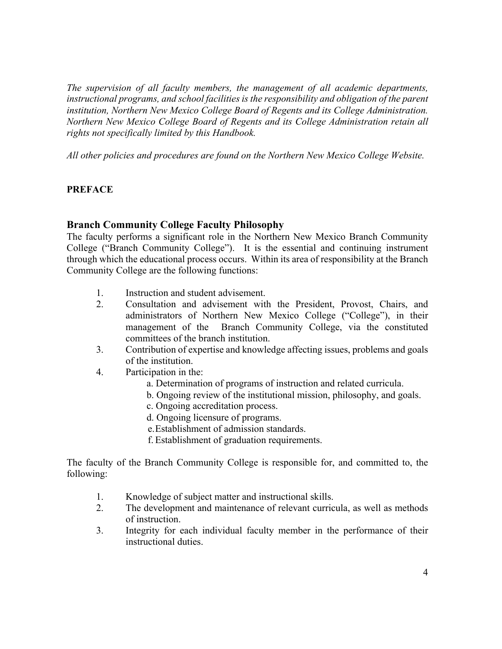*The supervision of all faculty members, the management of all academic departments, instructional programs, and school facilities is the responsibility and obligation of the parent institution, Northern New Mexico College Board of Regents and its College Administration. Northern New Mexico College Board of Regents and its College Administration retain all rights not specifically limited by this Handbook.*

*All other policies and procedures are found on the Northern New Mexico College Website.*

# **PREFACE**

### **Branch Community College Faculty Philosophy**

The faculty performs a significant role in the Northern New Mexico Branch Community College ("Branch Community College"). It is the essential and continuing instrument through which the educational process occurs. Within its area of responsibility at the Branch Community College are the following functions:

- 1. Instruction and student advisement.
- 2. Consultation and advisement with the President, Provost, Chairs, and administrators of Northern New Mexico College ("College"), in their management of the Branch Community College, via the constituted committees of the branch institution.
- 3. Contribution of expertise and knowledge affecting issues, problems and goals of the institution.
- 4. Participation in the:
	- a. Determination of programs of instruction and related curricula.
	- b. Ongoing review of the institutional mission, philosophy, and goals.
	- c. Ongoing accreditation process.
	- d. Ongoing licensure of programs.
	- e.Establishment of admission standards.
	- f. Establishment of graduation requirements.

The faculty of the Branch Community College is responsible for, and committed to, the following:

- 1. Knowledge of subject matter and instructional skills.
- 2. The development and maintenance of relevant curricula, as well as methods of instruction.
- 3. Integrity for each individual faculty member in the performance of their instructional duties.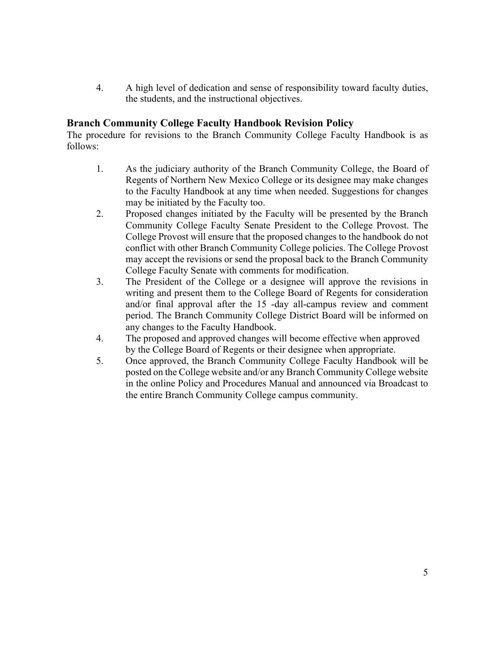4. A high level of dedication and sense of responsibility toward faculty duties, the students, and the instructional objectives.

# **Branch Community College Faculty Handbook Revision Policy**

The procedure for revisions to the Branch Community College Faculty Handbook is as follows:

- 1. As the judiciary authority of the Branch Community College, the Board of Regents of Northern New Mexico College or its designee may make changes to the Faculty Handbook at any time when needed. Suggestions for changes may be initiated by the Faculty too.
- 2. Proposed changes initiated by the Faculty will be presented by the Branch Community College Faculty Senate President to the College Provost. The College Provost will ensure that the proposed changes to the handbook do not conflict with other Branch Community College policies. The College Provost may accept the revisions or send the proposal back to the Branch Community College Faculty Senate with comments for modification.
- 3. The President of the College or a designee will approve the revisions in writing and present them to the College Board of Regents for consideration and/or final approval after the 15 -day all-campus review and comment period. The Branch Community College District Board will be informed on any changes to the Faculty Handbook.
- 4. The proposed and approved changes will become effective when approved by the College Board of Regents or their designee when appropriate.
- 5. Once approved, the Branch Community College Faculty Handbook will be posted on the College website and/or any Branch Community College website in the online Policy and Procedures Manual and announced via Broadcast to the entire Branch Community College campus community.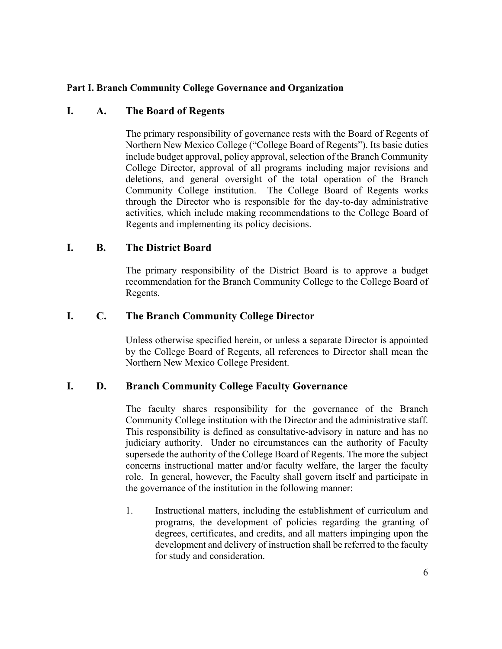# **Part I. Branch Community College Governance and Organization**

# **I. A. The Board of Regents**

The primary responsibility of governance rests with the Board of Regents of Northern New Mexico College ("College Board of Regents"). Its basic duties include budget approval, policy approval, selection of the Branch Community College Director, approval of all programs including major revisions and deletions, and general oversight of the total operation of the Branch Community College institution. The College Board of Regents works through the Director who is responsible for the day-to-day administrative activities, which include making recommendations to the College Board of Regents and implementing its policy decisions.

# **I. B. The District Board**

The primary responsibility of the District Board is to approve a budget recommendation for the Branch Community College to the College Board of Regents.

# **I. C. The Branch Community College Director**

Unless otherwise specified herein, or unless a separate Director is appointed by the College Board of Regents, all references to Director shall mean the Northern New Mexico College President.

### **I. D. Branch Community College Faculty Governance**

The faculty shares responsibility for the governance of the Branch Community College institution with the Director and the administrative staff. This responsibility is defined as consultative-advisory in nature and has no judiciary authority. Under no circumstances can the authority of Faculty supersede the authority of the College Board of Regents. The more the subject concerns instructional matter and/or faculty welfare, the larger the faculty role. In general, however, the Faculty shall govern itself and participate in the governance of the institution in the following manner:

1. Instructional matters, including the establishment of curriculum and programs, the development of policies regarding the granting of degrees, certificates, and credits, and all matters impinging upon the development and delivery of instruction shall be referred to the faculty for study and consideration.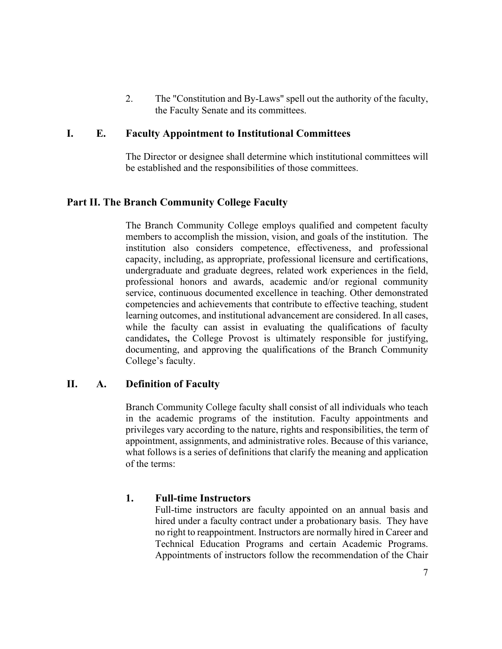2. The "Constitution and By-Laws" spell out the authority of the faculty, the Faculty Senate and its committees.

# **I. E. Faculty Appointment to Institutional Committees**

The Director or designee shall determine which institutional committees will be established and the responsibilities of those committees.

# **Part II. The Branch Community College Faculty**

The Branch Community College employs qualified and competent faculty members to accomplish the mission, vision, and goals of the institution. The institution also considers competence, effectiveness, and professional capacity, including, as appropriate, professional licensure and certifications, undergraduate and graduate degrees, related work experiences in the field, professional honors and awards, academic and/or regional community service, continuous documented excellence in teaching. Other demonstrated competencies and achievements that contribute to effective teaching, student learning outcomes, and institutional advancement are considered. In all cases, while the faculty can assist in evaluating the qualifications of faculty candidates**,** the College Provost is ultimately responsible for justifying, documenting, and approving the qualifications of the Branch Community College's faculty.

# **II. A. Definition of Faculty**

Branch Community College faculty shall consist of all individuals who teach in the academic programs of the institution. Faculty appointments and privileges vary according to the nature, rights and responsibilities, the term of appointment, assignments, and administrative roles. Because of this variance, what follows is a series of definitions that clarify the meaning and application of the terms:

# **1. Full-time Instructors**

Full-time instructors are faculty appointed on an annual basis and hired under a faculty contract under a probationary basis. They have no right to reappointment. Instructors are normally hired in Career and Technical Education Programs and certain Academic Programs. Appointments of instructors follow the recommendation of the Chair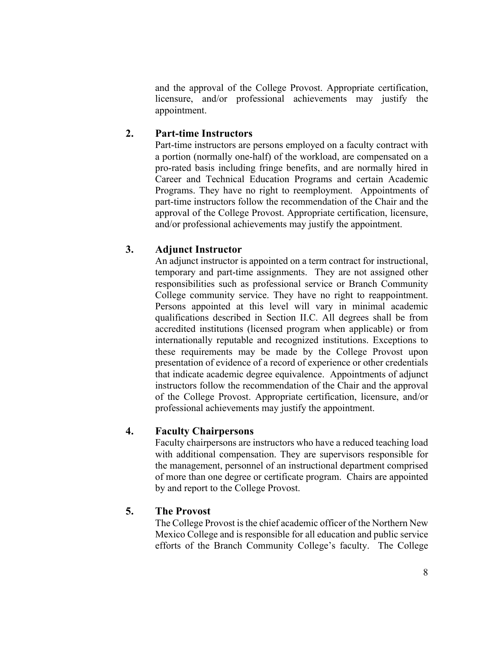and the approval of the College Provost. Appropriate certification, licensure, and/or professional achievements may justify the appointment.

# **2. Part-time Instructors**

Part-time instructors are persons employed on a faculty contract with a portion (normally one-half) of the workload, are compensated on a pro-rated basis including fringe benefits, and are normally hired in Career and Technical Education Programs and certain Academic Programs. They have no right to reemployment. Appointments of part-time instructors follow the recommendation of the Chair and the approval of the College Provost. Appropriate certification, licensure, and/or professional achievements may justify the appointment.

# **3. Adjunct Instructor**

An adjunct instructor is appointed on a term contract for instructional, temporary and part-time assignments. They are not assigned other responsibilities such as professional service or Branch Community College community service. They have no right to reappointment. Persons appointed at this level will vary in minimal academic qualifications described in Section II.C. All degrees shall be from accredited institutions (licensed program when applicable) or from internationally reputable and recognized institutions. Exceptions to these requirements may be made by the College Provost upon presentation of evidence of a record of experience or other credentials that indicate academic degree equivalence. Appointments of adjunct instructors follow the recommendation of the Chair and the approval of the College Provost. Appropriate certification, licensure, and/or professional achievements may justify the appointment.

# **4. Faculty Chairpersons**

Faculty chairpersons are instructors who have a reduced teaching load with additional compensation. They are supervisors responsible for the management, personnel of an instructional department comprised of more than one degree or certificate program. Chairs are appointed by and report to the College Provost.

# **5. The Provost**

The College Provost is the chief academic officer of the Northern New Mexico College and is responsible for all education and public service efforts of the Branch Community College's faculty. The College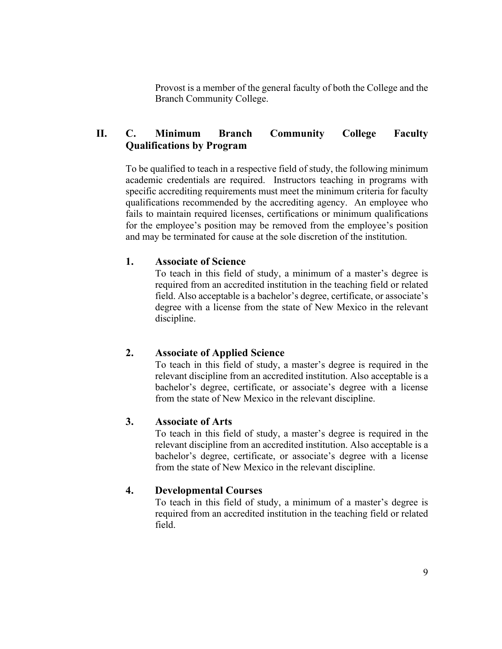Provost is a member of the general faculty of both the College and the Branch Community College.

# **II. C. Minimum Branch Community College Faculty Qualifications by Program**

To be qualified to teach in a respective field of study, the following minimum academic credentials are required. Instructors teaching in programs with specific accrediting requirements must meet the minimum criteria for faculty qualifications recommended by the accrediting agency. An employee who fails to maintain required licenses, certifications or minimum qualifications for the employee's position may be removed from the employee's position and may be terminated for cause at the sole discretion of the institution.

# **1. Associate of Science**

To teach in this field of study, a minimum of a master's degree is required from an accredited institution in the teaching field or related field. Also acceptable is a bachelor's degree, certificate, or associate's degree with a license from the state of New Mexico in the relevant discipline.

# **2. Associate of Applied Science**

To teach in this field of study, a master's degree is required in the relevant discipline from an accredited institution. Also acceptable is a bachelor's degree, certificate, or associate's degree with a license from the state of New Mexico in the relevant discipline.

### **3. Associate of Arts**

To teach in this field of study, a master's degree is required in the relevant discipline from an accredited institution. Also acceptable is a bachelor's degree, certificate, or associate's degree with a license from the state of New Mexico in the relevant discipline.

# **4. Developmental Courses**

To teach in this field of study, a minimum of a master's degree is required from an accredited institution in the teaching field or related field.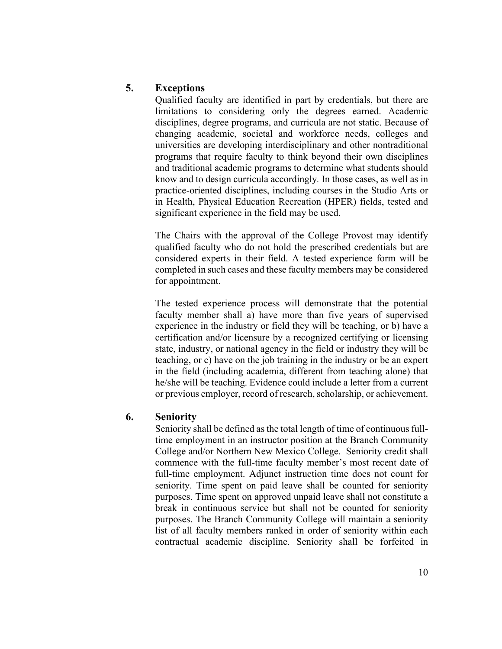# **5. Exceptions**

Qualified faculty are identified in part by credentials, but there are limitations to considering only the degrees earned. Academic disciplines, degree programs, and curricula are not static. Because of changing academic, societal and workforce needs, colleges and universities are developing interdisciplinary and other nontraditional programs that require faculty to think beyond their own disciplines and traditional academic programs to determine what students should know and to design curricula accordingly*.* In those cases, as well as in practice-oriented disciplines, including courses in the Studio Arts or in Health, Physical Education Recreation (HPER) fields, tested and significant experience in the field may be used.

The Chairs with the approval of the College Provost may identify qualified faculty who do not hold the prescribed credentials but are considered experts in their field. A tested experience form will be completed in such cases and these faculty members may be considered for appointment.

The tested experience process will demonstrate that the potential faculty member shall a) have more than five years of supervised experience in the industry or field they will be teaching, or b) have a certification and/or licensure by a recognized certifying or licensing state, industry, or national agency in the field or industry they will be teaching, or c) have on the job training in the industry or be an expert in the field (including academia, different from teaching alone) that he/she will be teaching. Evidence could include a letter from a current or previous employer, record of research, scholarship, or achievement.

### **6. Seniority**

Seniority shall be defined as the total length of time of continuous fulltime employment in an instructor position at the Branch Community College and/or Northern New Mexico College. Seniority credit shall commence with the full-time faculty member's most recent date of full-time employment. Adjunct instruction time does not count for seniority. Time spent on paid leave shall be counted for seniority purposes. Time spent on approved unpaid leave shall not constitute a break in continuous service but shall not be counted for seniority purposes. The Branch Community College will maintain a seniority list of all faculty members ranked in order of seniority within each contractual academic discipline. Seniority shall be forfeited in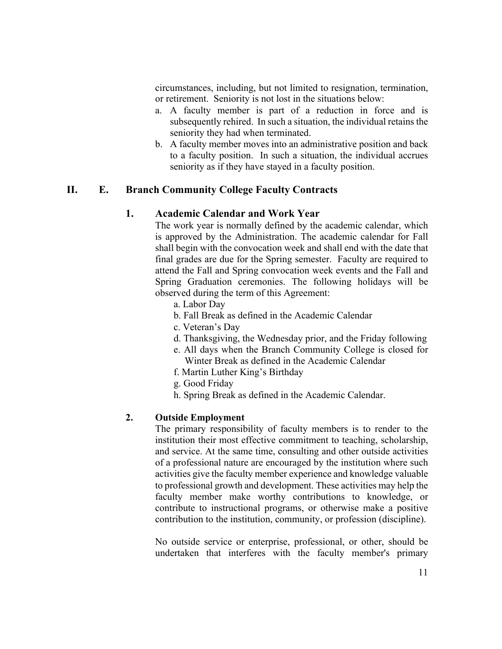circumstances, including, but not limited to resignation, termination, or retirement. Seniority is not lost in the situations below:

- a. A faculty member is part of a reduction in force and is subsequently rehired. In such a situation, the individual retains the seniority they had when terminated.
- b. A faculty member moves into an administrative position and back to a faculty position. In such a situation, the individual accrues seniority as if they have stayed in a faculty position.

# **II. E. Branch Community College Faculty Contracts**

# **1. Academic Calendar and Work Year**

The work year is normally defined by the academic calendar, which is approved by the Administration. The academic calendar for Fall shall begin with the convocation week and shall end with the date that final grades are due for the Spring semester. Faculty are required to attend the Fall and Spring convocation week events and the Fall and Spring Graduation ceremonies. The following holidays will be observed during the term of this Agreement:

- a. Labor Day
- b. Fall Break as defined in the Academic Calendar
- c. Veteran's Day
- d. Thanksgiving, the Wednesday prior, and the Friday following
- e. All days when the Branch Community College is closed for Winter Break as defined in the Academic Calendar
- f. Martin Luther King's Birthday
- g. Good Friday
- h. Spring Break as defined in the Academic Calendar.

### **2. Outside Employment**

The primary responsibility of faculty members is to render to the institution their most effective commitment to teaching, scholarship, and service. At the same time, consulting and other outside activities of a professional nature are encouraged by the institution where such activities give the faculty member experience and knowledge valuable to professional growth and development. These activities may help the faculty member make worthy contributions to knowledge, or contribute to instructional programs, or otherwise make a positive contribution to the institution, community, or profession (discipline).

No outside service or enterprise, professional, or other, should be undertaken that interferes with the faculty member's primary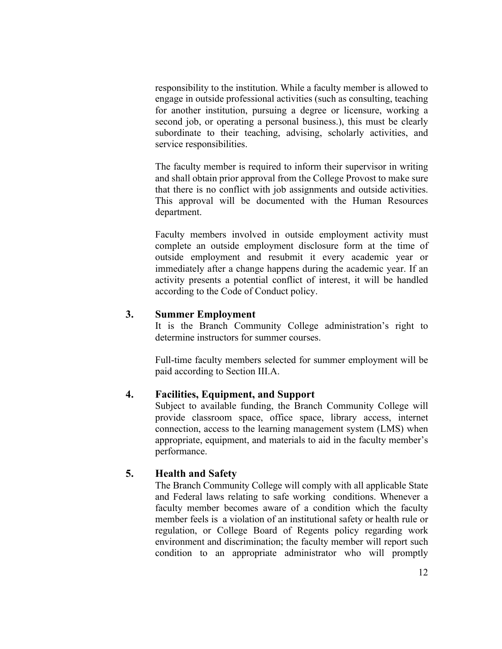responsibility to the institution. While a faculty member is allowed to engage in outside professional activities (such as consulting, teaching for another institution, pursuing a degree or licensure, working a second job, or operating a personal business.), this must be clearly subordinate to their teaching, advising, scholarly activities, and service responsibilities.

The faculty member is required to inform their supervisor in writing and shall obtain prior approval from the College Provost to make sure that there is no conflict with job assignments and outside activities. This approval will be documented with the Human Resources department.

Faculty members involved in outside employment activity must complete an outside employment disclosure form at the time of outside employment and resubmit it every academic year or immediately after a change happens during the academic year. If an activity presents a potential conflict of interest, it will be handled according to the Code of Conduct policy.

### **3. Summer Employment**

It is the Branch Community College administration's right to determine instructors for summer courses.

Full-time faculty members selected for summer employment will be paid according to Section III.A.

# **4. Facilities, Equipment, and Support**

Subject to available funding, the Branch Community College will provide classroom space, office space, library access, internet connection, access to the learning management system (LMS) when appropriate, equipment, and materials to aid in the faculty member's performance.

### **5. Health and Safety**

The Branch Community College will comply with all applicable State and Federal laws relating to safe working conditions. Whenever a faculty member becomes aware of a condition which the faculty member feels is a violation of an institutional safety or health rule or regulation, or College Board of Regents policy regarding work environment and discrimination; the faculty member will report such condition to an appropriate administrator who will promptly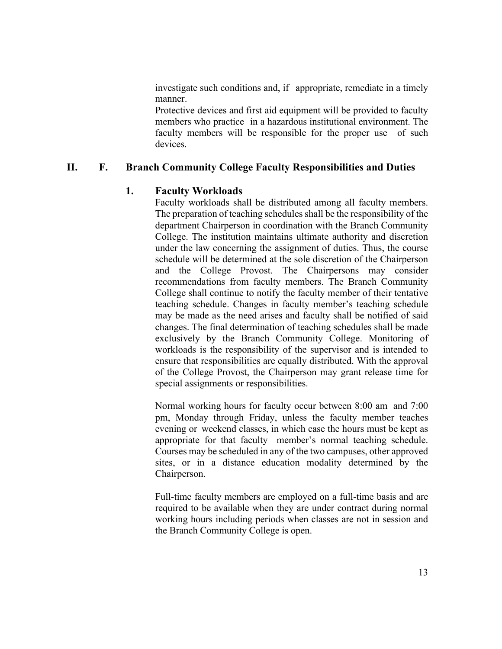investigate such conditions and, if appropriate, remediate in a timely manner.

Protective devices and first aid equipment will be provided to faculty members who practice in a hazardous institutional environment. The faculty members will be responsible for the proper use of such devices.

# **II. F. Branch Community College Faculty Responsibilities and Duties**

# **1. Faculty Workloads**

Faculty workloads shall be distributed among all faculty members. The preparation of teaching schedules shall be the responsibility of the department Chairperson in coordination with the Branch Community College. The institution maintains ultimate authority and discretion under the law concerning the assignment of duties. Thus, the course schedule will be determined at the sole discretion of the Chairperson and the College Provost. The Chairpersons may consider recommendations from faculty members. The Branch Community College shall continue to notify the faculty member of their tentative teaching schedule. Changes in faculty member's teaching schedule may be made as the need arises and faculty shall be notified of said changes. The final determination of teaching schedules shall be made exclusively by the Branch Community College. Monitoring of workloads is the responsibility of the supervisor and is intended to ensure that responsibilities are equally distributed. With the approval of the College Provost, the Chairperson may grant release time for special assignments or responsibilities.

Normal working hours for faculty occur between 8:00 am and 7:00 pm, Monday through Friday, unless the faculty member teaches evening or weekend classes, in which case the hours must be kept as appropriate for that faculty member's normal teaching schedule. Courses may be scheduled in any of the two campuses, other approved sites, or in a distance education modality determined by the Chairperson.

Full-time faculty members are employed on a full-time basis and are required to be available when they are under contract during normal working hours including periods when classes are not in session and the Branch Community College is open.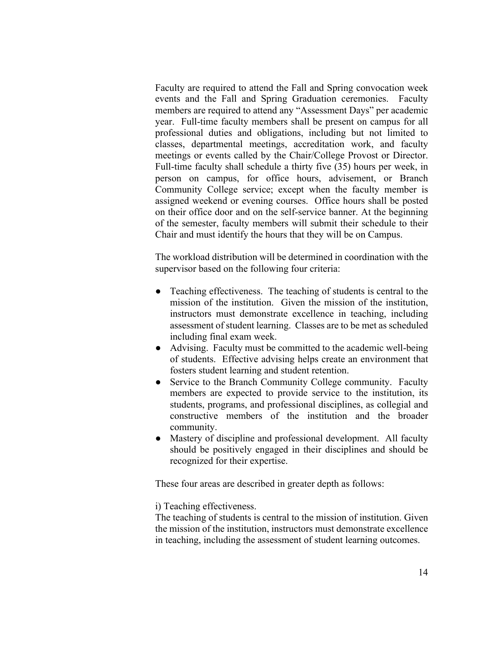Faculty are required to attend the Fall and Spring convocation week events and the Fall and Spring Graduation ceremonies. Faculty members are required to attend any "Assessment Days" per academic year. Full-time faculty members shall be present on campus for all professional duties and obligations, including but not limited to classes, departmental meetings, accreditation work, and faculty meetings or events called by the Chair/College Provost or Director. Full-time faculty shall schedule a thirty five (35) hours per week, in person on campus, for office hours, advisement, or Branch Community College service; except when the faculty member is assigned weekend or evening courses. Office hours shall be posted on their office door and on the self-service banner. At the beginning of the semester, faculty members will submit their schedule to their Chair and must identify the hours that they will be on Campus.

The workload distribution will be determined in coordination with the supervisor based on the following four criteria:

- Teaching effectiveness. The teaching of students is central to the mission of the institution. Given the mission of the institution, instructors must demonstrate excellence in teaching, including assessment of student learning. Classes are to be met as scheduled including final exam week.
- Advising. Faculty must be committed to the academic well-being of students. Effective advising helps create an environment that fosters student learning and student retention.
- Service to the Branch Community College community. Faculty members are expected to provide service to the institution, its students, programs, and professional disciplines, as collegial and constructive members of the institution and the broader community.
- Mastery of discipline and professional development. All faculty should be positively engaged in their disciplines and should be recognized for their expertise.

These four areas are described in greater depth as follows:

i) Teaching effectiveness.

The teaching of students is central to the mission of institution. Given the mission of the institution, instructors must demonstrate excellence in teaching, including the assessment of student learning outcomes.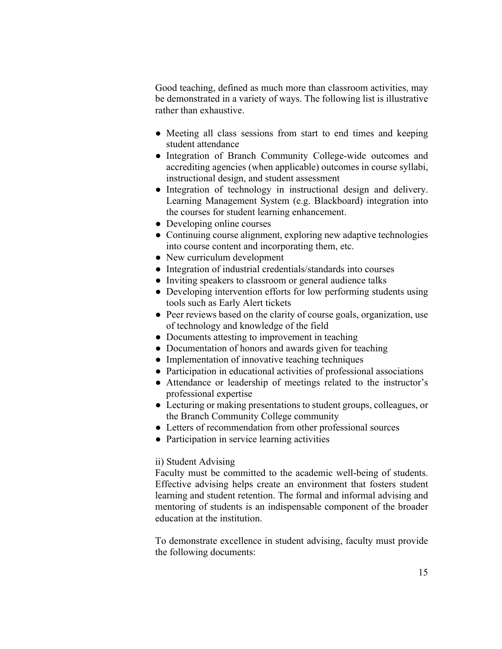Good teaching, defined as much more than classroom activities, may be demonstrated in a variety of ways. The following list is illustrative rather than exhaustive.

- Meeting all class sessions from start to end times and keeping student attendance
- Integration of Branch Community College-wide outcomes and accrediting agencies (when applicable) outcomes in course syllabi, instructional design, and student assessment
- Integration of technology in instructional design and delivery. Learning Management System (e.g. Blackboard) integration into the courses for student learning enhancement.
- Developing online courses
- Continuing course alignment, exploring new adaptive technologies into course content and incorporating them, etc.
- New curriculum development
- Integration of industrial credentials/standards into courses
- Inviting speakers to classroom or general audience talks
- Developing intervention efforts for low performing students using tools such as Early Alert tickets
- Peer reviews based on the clarity of course goals, organization, use of technology and knowledge of the field
- Documents attesting to improvement in teaching
- Documentation of honors and awards given for teaching
- Implementation of innovative teaching techniques
- Participation in educational activities of professional associations
- Attendance or leadership of meetings related to the instructor's professional expertise
- Lecturing or making presentations to student groups, colleagues, or the Branch Community College community
- Letters of recommendation from other professional sources
- Participation in service learning activities

#### ii) Student Advising

Faculty must be committed to the academic well-being of students. Effective advising helps create an environment that fosters student learning and student retention. The formal and informal advising and mentoring of students is an indispensable component of the broader education at the institution.

To demonstrate excellence in student advising, faculty must provide the following documents: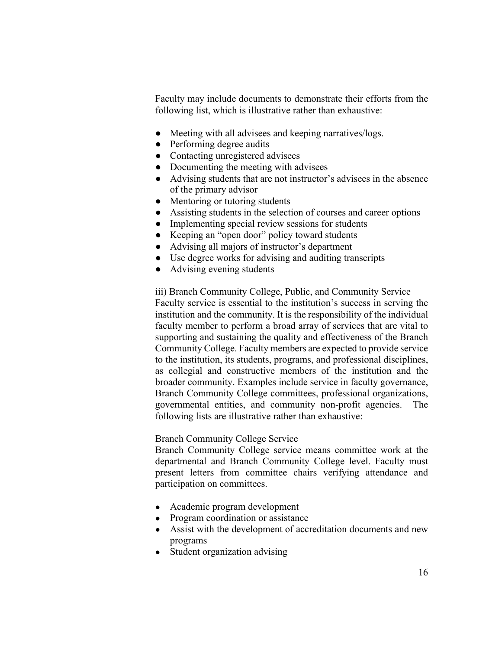Faculty may include documents to demonstrate their efforts from the following list, which is illustrative rather than exhaustive:

- Meeting with all advisees and keeping narratives/logs.
- Performing degree audits
- Contacting unregistered advisees
- Documenting the meeting with advisees
- Advising students that are not instructor's advisees in the absence of the primary advisor
- Mentoring or tutoring students
- Assisting students in the selection of courses and career options
- Implementing special review sessions for students
- Keeping an "open door" policy toward students
- Advising all majors of instructor's department
- Use degree works for advising and auditing transcripts
- Advising evening students

iii) Branch Community College, Public, and Community Service Faculty service is essential to the institution's success in serving the institution and the community. It is the responsibility of the individual faculty member to perform a broad array of services that are vital to supporting and sustaining the quality and effectiveness of the Branch Community College. Faculty members are expected to provide service to the institution, its students, programs, and professional disciplines, as collegial and constructive members of the institution and the broader community. Examples include service in faculty governance, Branch Community College committees, professional organizations, governmental entities, and community non-profit agencies. The following lists are illustrative rather than exhaustive:

### Branch Community College Service

Branch Community College service means committee work at the departmental and Branch Community College level. Faculty must present letters from committee chairs verifying attendance and participation on committees.

- Academic program development
- Program coordination or assistance
- Assist with the development of accreditation documents and new programs
- Student organization advising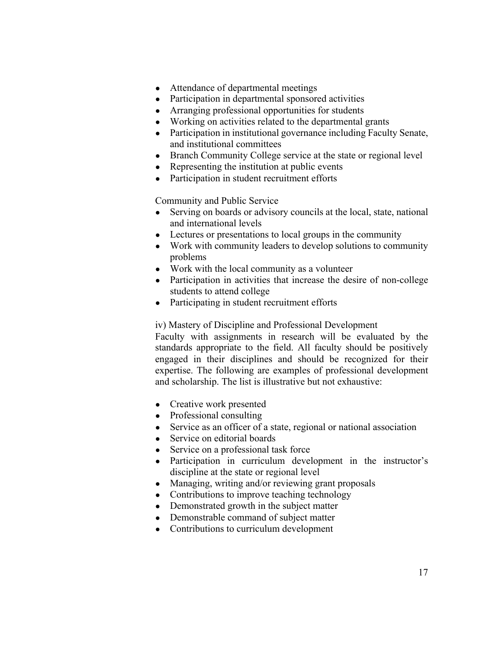- Attendance of departmental meetings
- Participation in departmental sponsored activities
- Arranging professional opportunities for students
- Working on activities related to the departmental grants
- Participation in institutional governance including Faculty Senate, and institutional committees
- Branch Community College service at the state or regional level
- Representing the institution at public events
- Participation in student recruitment efforts

Community and Public Service

- Serving on boards or advisory councils at the local, state, national and international levels
- Lectures or presentations to local groups in the community
- Work with community leaders to develop solutions to community problems
- Work with the local community as a volunteer
- Participation in activities that increase the desire of non-college students to attend college
- Participating in student recruitment efforts

#### iv) Mastery of Discipline and Professional Development

Faculty with assignments in research will be evaluated by the standards appropriate to the field. All faculty should be positively engaged in their disciplines and should be recognized for their expertise. The following are examples of professional development and scholarship. The list is illustrative but not exhaustive:

- Creative work presented
- Professional consulting
- Service as an officer of a state, regional or national association
- Service on editorial boards
- Service on a professional task force
- Participation in curriculum development in the instructor's discipline at the state or regional level
- Managing, writing and/or reviewing grant proposals
- Contributions to improve teaching technology
- Demonstrated growth in the subject matter
- Demonstrable command of subject matter
- Contributions to curriculum development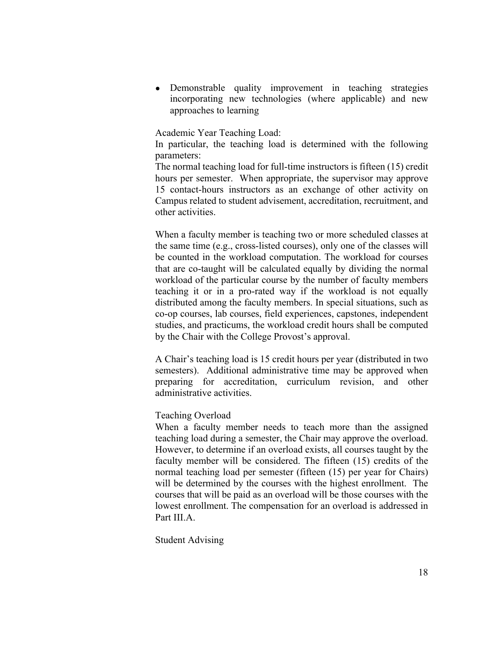• Demonstrable quality improvement in teaching strategies incorporating new technologies (where applicable) and new approaches to learning

Academic Year Teaching Load:

In particular, the teaching load is determined with the following parameters:

The normal teaching load for full-time instructors is fifteen (15) credit hours per semester. When appropriate, the supervisor may approve 15 contact-hours instructors as an exchange of other activity on Campus related to student advisement, accreditation, recruitment, and other activities.

When a faculty member is teaching two or more scheduled classes at the same time (e.g., cross-listed courses), only one of the classes will be counted in the workload computation. The workload for courses that are co-taught will be calculated equally by dividing the normal workload of the particular course by the number of faculty members teaching it or in a pro-rated way if the workload is not equally distributed among the faculty members. In special situations, such as co-op courses, lab courses, field experiences, capstones, independent studies, and practicums, the workload credit hours shall be computed by the Chair with the College Provost's approval.

A Chair's teaching load is 15 credit hours per year (distributed in two semesters). Additional administrative time may be approved when preparing for accreditation, curriculum revision, and other administrative activities.

#### Teaching Overload

When a faculty member needs to teach more than the assigned teaching load during a semester, the Chair may approve the overload. However, to determine if an overload exists, all courses taught by the faculty member will be considered. The fifteen (15) credits of the normal teaching load per semester (fifteen (15) per year for Chairs) will be determined by the courses with the highest enrollment. The courses that will be paid as an overload will be those courses with the lowest enrollment. The compensation for an overload is addressed in Part III.A.

Student Advising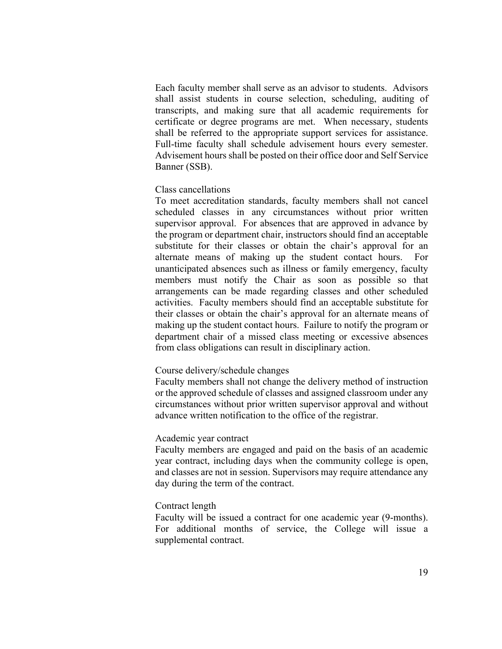Each faculty member shall serve as an advisor to students. Advisors shall assist students in course selection, scheduling, auditing of transcripts, and making sure that all academic requirements for certificate or degree programs are met. When necessary, students shall be referred to the appropriate support services for assistance. Full-time faculty shall schedule advisement hours every semester. Advisement hours shall be posted on their office door and Self Service Banner (SSB).

#### Class cancellations

To meet accreditation standards, faculty members shall not cancel scheduled classes in any circumstances without prior written supervisor approval. For absences that are approved in advance by the program or department chair, instructors should find an acceptable substitute for their classes or obtain the chair's approval for an alternate means of making up the student contact hours. For unanticipated absences such as illness or family emergency, faculty members must notify the Chair as soon as possible so that arrangements can be made regarding classes and other scheduled activities. Faculty members should find an acceptable substitute for their classes or obtain the chair's approval for an alternate means of making up the student contact hours. Failure to notify the program or department chair of a missed class meeting or excessive absences from class obligations can result in disciplinary action.

#### Course delivery/schedule changes

Faculty members shall not change the delivery method of instruction or the approved schedule of classes and assigned classroom under any circumstances without prior written supervisor approval and without advance written notification to the office of the registrar.

### Academic year contract

Faculty members are engaged and paid on the basis of an academic year contract, including days when the community college is open, and classes are not in session. Supervisors may require attendance any day during the term of the contract.

#### Contract length

Faculty will be issued a contract for one academic year (9-months). For additional months of service, the College will issue a supplemental contract.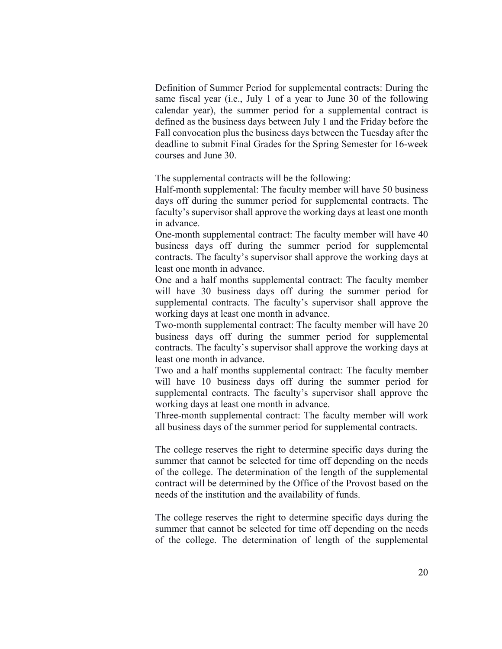Definition of Summer Period for supplemental contracts: During the same fiscal year (i.e., July 1 of a year to June 30 of the following calendar year), the summer period for a supplemental contract is defined as the business days between July 1 and the Friday before the Fall convocation plus the business days between the Tuesday after the deadline to submit Final Grades for the Spring Semester for 16-week courses and June 30.

The supplemental contracts will be the following:

Half-month supplemental: The faculty member will have 50 business days off during the summer period for supplemental contracts. The faculty's supervisor shall approve the working days at least one month in advance.

One-month supplemental contract: The faculty member will have 40 business days off during the summer period for supplemental contracts. The faculty's supervisor shall approve the working days at least one month in advance.

One and a half months supplemental contract: The faculty member will have 30 business days off during the summer period for supplemental contracts. The faculty's supervisor shall approve the working days at least one month in advance.

Two-month supplemental contract: The faculty member will have 20 business days off during the summer period for supplemental contracts. The faculty's supervisor shall approve the working days at least one month in advance.

Two and a half months supplemental contract: The faculty member will have 10 business days off during the summer period for supplemental contracts. The faculty's supervisor shall approve the working days at least one month in advance.

Three-month supplemental contract: The faculty member will work all business days of the summer period for supplemental contracts.

The college reserves the right to determine specific days during the summer that cannot be selected for time off depending on the needs of the college. The determination of the length of the supplemental contract will be determined by the Office of the Provost based on the needs of the institution and the availability of funds.

The college reserves the right to determine specific days during the summer that cannot be selected for time off depending on the needs of the college. The determination of length of the supplemental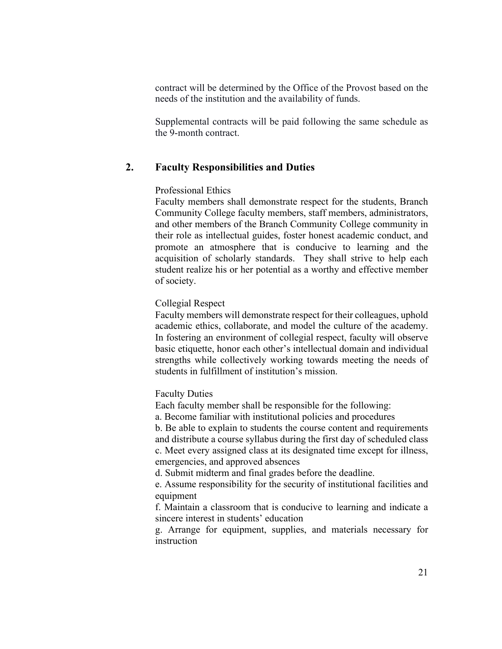contract will be determined by the Office of the Provost based on the needs of the institution and the availability of funds.

Supplemental contracts will be paid following the same schedule as the 9-month contract.

### **2. Faculty Responsibilities and Duties**

#### Professional Ethics

Faculty members shall demonstrate respect for the students, Branch Community College faculty members, staff members, administrators, and other members of the Branch Community College community in their role as intellectual guides, foster honest academic conduct, and promote an atmosphere that is conducive to learning and the acquisition of scholarly standards. They shall strive to help each student realize his or her potential as a worthy and effective member of society.

#### Collegial Respect

Faculty members will demonstrate respect for their colleagues, uphold academic ethics, collaborate, and model the culture of the academy. In fostering an environment of collegial respect, faculty will observe basic etiquette, honor each other's intellectual domain and individual strengths while collectively working towards meeting the needs of students in fulfillment of institution's mission.

### Faculty Duties

Each faculty member shall be responsible for the following:

a. Become familiar with institutional policies and procedures

b. Be able to explain to students the course content and requirements and distribute a course syllabus during the first day of scheduled class c. Meet every assigned class at its designated time except for illness, emergencies, and approved absences

d. Submit midterm and final grades before the deadline.

e. Assume responsibility for the security of institutional facilities and equipment

f. Maintain a classroom that is conducive to learning and indicate a sincere interest in students' education

g. Arrange for equipment, supplies, and materials necessary for instruction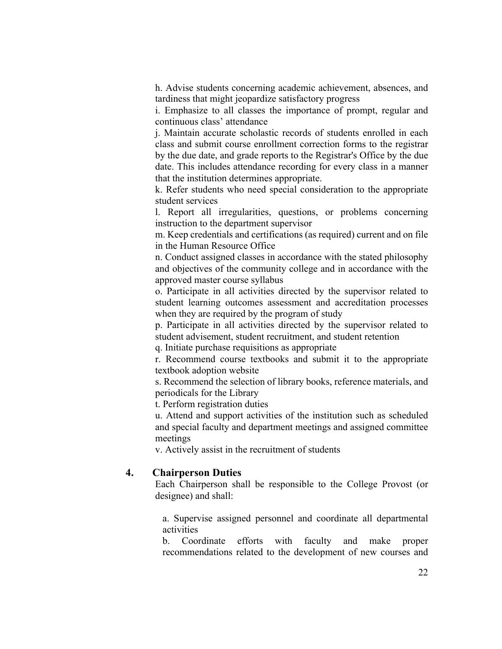h. Advise students concerning academic achievement, absences, and tardiness that might jeopardize satisfactory progress

i. Emphasize to all classes the importance of prompt, regular and continuous class' attendance

j. Maintain accurate scholastic records of students enrolled in each class and submit course enrollment correction forms to the registrar by the due date, and grade reports to the Registrar's Office by the due date. This includes attendance recording for every class in a manner that the institution determines appropriate.

k. Refer students who need special consideration to the appropriate student services

l. Report all irregularities, questions, or problems concerning instruction to the department supervisor

m. Keep credentials and certifications (as required) current and on file in the Human Resource Office

n. Conduct assigned classes in accordance with the stated philosophy and objectives of the community college and in accordance with the approved master course syllabus

o. Participate in all activities directed by the supervisor related to student learning outcomes assessment and accreditation processes when they are required by the program of study

p. Participate in all activities directed by the supervisor related to student advisement, student recruitment, and student retention

q. Initiate purchase requisitions as appropriate

r. Recommend course textbooks and submit it to the appropriate textbook adoption website

s. Recommend the selection of library books, reference materials, and periodicals for the Library

t. Perform registration duties

u. Attend and support activities of the institution such as scheduled and special faculty and department meetings and assigned committee meetings

v. Actively assist in the recruitment of students

### **4. Chairperson Duties**

Each Chairperson shall be responsible to the College Provost (or designee) and shall:

a. Supervise assigned personnel and coordinate all departmental activities

b. Coordinate efforts with faculty and make proper recommendations related to the development of new courses and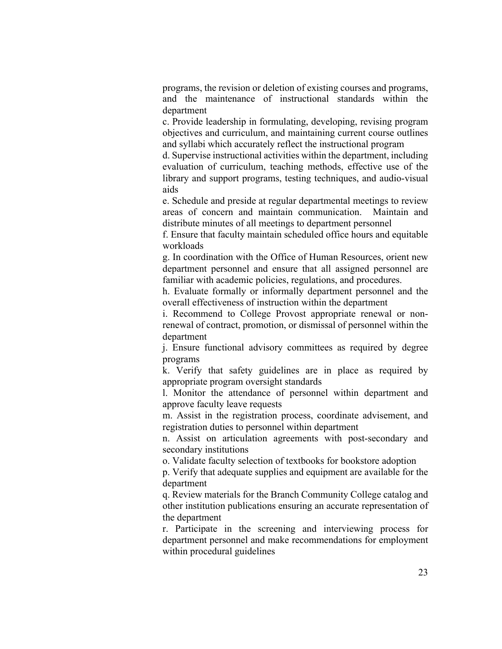programs, the revision or deletion of existing courses and programs, and the maintenance of instructional standards within the department

c. Provide leadership in formulating, developing, revising program objectives and curriculum, and maintaining current course outlines and syllabi which accurately reflect the instructional program

d. Supervise instructional activities within the department, including evaluation of curriculum, teaching methods, effective use of the library and support programs, testing techniques, and audio-visual aids

e. Schedule and preside at regular departmental meetings to review areas of concern and maintain communication. Maintain and distribute minutes of all meetings to department personnel

f. Ensure that faculty maintain scheduled office hours and equitable workloads

g. In coordination with the Office of Human Resources, orient new department personnel and ensure that all assigned personnel are familiar with academic policies, regulations, and procedures.

h. Evaluate formally or informally department personnel and the overall effectiveness of instruction within the department

i. Recommend to College Provost appropriate renewal or nonrenewal of contract, promotion, or dismissal of personnel within the department

j. Ensure functional advisory committees as required by degree programs

k. Verify that safety guidelines are in place as required by appropriate program oversight standards

l. Monitor the attendance of personnel within department and approve faculty leave requests

m. Assist in the registration process, coordinate advisement, and registration duties to personnel within department

 n. Assist on articulation agreements with post-secondary and secondary institutions

o. Validate faculty selection of textbooks for bookstore adoption

p. Verify that adequate supplies and equipment are available for the department

q. Review materials for the Branch Community College catalog and other institution publications ensuring an accurate representation of the department

r. Participate in the screening and interviewing process for department personnel and make recommendations for employment within procedural guidelines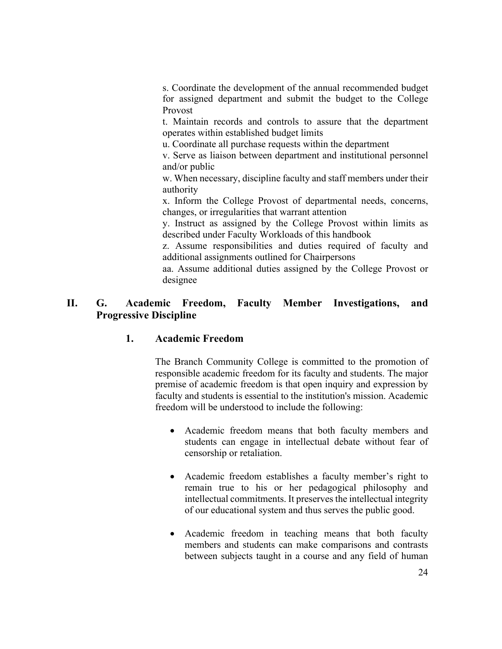s. Coordinate the development of the annual recommended budget for assigned department and submit the budget to the College Provost

t. Maintain records and controls to assure that the department operates within established budget limits

u. Coordinate all purchase requests within the department

v. Serve as liaison between department and institutional personnel and/or public

w. When necessary, discipline faculty and staff members under their authority

x. Inform the College Provost of departmental needs, concerns, changes, or irregularities that warrant attention

y. Instruct as assigned by the College Provost within limits as described under Faculty Workloads of this handbook

z. Assume responsibilities and duties required of faculty and additional assignments outlined for Chairpersons

aa. Assume additional duties assigned by the College Provost or designee

# **II. G. Academic Freedom, Faculty Member Investigations, and Progressive Discipline**

# **1. Academic Freedom**

The Branch Community College is committed to the promotion of responsible academic freedom for its faculty and students. The major premise of academic freedom is that open inquiry and expression by faculty and students is essential to the institution's mission. Academic freedom will be understood to include the following:

- Academic freedom means that both faculty members and students can engage in intellectual debate without fear of censorship or retaliation.
- Academic freedom establishes a faculty member's right to remain true to his or her pedagogical philosophy and intellectual commitments. It preserves the intellectual integrity of our educational system and thus serves the public good.
- Academic freedom in teaching means that both faculty members and students can make comparisons and contrasts between subjects taught in a course and any field of human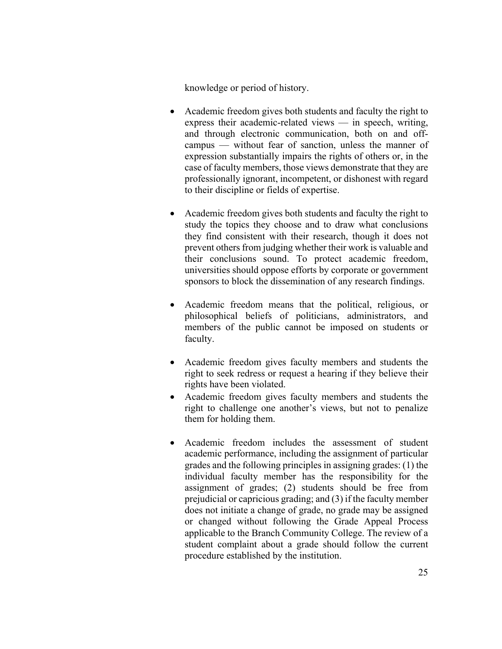knowledge or period of history.

- Academic freedom gives both students and faculty the right to express their academic-related views — in speech, writing, and through electronic communication, both on and offcampus — without fear of sanction, unless the manner of expression substantially impairs the rights of others or, in the case of faculty members, those views demonstrate that they are professionally ignorant, incompetent, or dishonest with regard to their discipline or fields of expertise.
- Academic freedom gives both students and faculty the right to study the topics they choose and to draw what conclusions they find consistent with their research, though it does not prevent others from judging whether their work is valuable and their conclusions sound. To protect academic freedom, universities should oppose efforts by corporate or government sponsors to block the dissemination of any research findings.
- Academic freedom means that the political, religious, or philosophical beliefs of politicians, administrators, and members of the public cannot be imposed on students or faculty.
- Academic freedom gives faculty members and students the right to seek redress or request a hearing if they believe their rights have been violated.
- Academic freedom gives faculty members and students the right to challenge one another's views, but not to penalize them for holding them.
- Academic freedom includes the assessment of student academic performance, including the assignment of particular grades and the following principles in assigning grades: (1) the individual faculty member has the responsibility for the assignment of grades; (2) students should be free from prejudicial or capricious grading; and (3) if the faculty member does not initiate a change of grade, no grade may be assigned or changed without following the Grade Appeal Process applicable to the Branch Community College. The review of a student complaint about a grade should follow the current procedure established by the institution.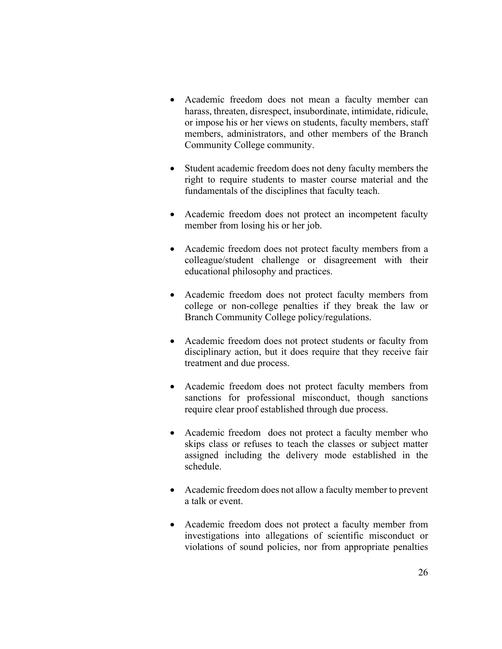- Academic freedom does not mean a faculty member can harass, threaten, disrespect, insubordinate, intimidate, ridicule, or impose his or her views on students, faculty members, staff members, administrators, and other members of the Branch Community College community.
- Student academic freedom does not deny faculty members the right to require students to master course material and the fundamentals of the disciplines that faculty teach.
- Academic freedom does not protect an incompetent faculty member from losing his or her job.
- Academic freedom does not protect faculty members from a colleague/student challenge or disagreement with their educational philosophy and practices.
- Academic freedom does not protect faculty members from college or non-college penalties if they break the law or Branch Community College policy/regulations.
- Academic freedom does not protect students or faculty from disciplinary action, but it does require that they receive fair treatment and due process.
- Academic freedom does not protect faculty members from sanctions for professional misconduct, though sanctions require clear proof established through due process.
- Academic freedom does not protect a faculty member who skips class or refuses to teach the classes or subject matter assigned including the delivery mode established in the schedule.
- Academic freedom does not allow a faculty member to prevent a talk or event.
- Academic freedom does not protect a faculty member from investigations into allegations of scientific misconduct or violations of sound policies, nor from appropriate penalties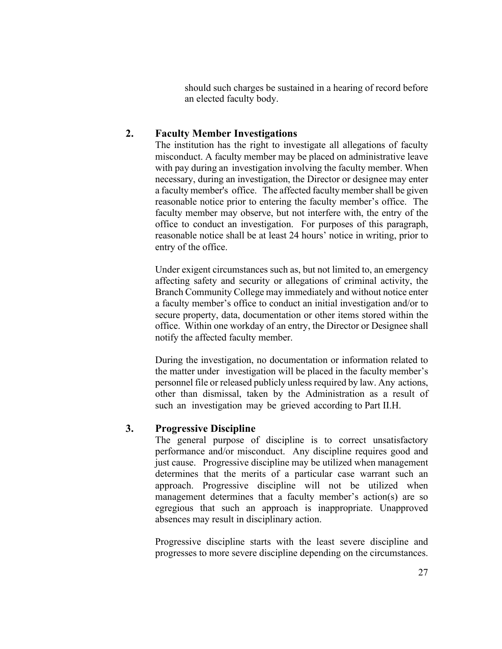should such charges be sustained in a hearing of record before an elected faculty body.

### **2. Faculty Member Investigations**

The institution has the right to investigate all allegations of faculty misconduct. A faculty member may be placed on administrative leave with pay during an investigation involving the faculty member. When necessary, during an investigation, the Director or designee may enter a faculty member's office. The affected faculty member shall be given reasonable notice prior to entering the faculty member's office. The faculty member may observe, but not interfere with, the entry of the office to conduct an investigation. For purposes of this paragraph, reasonable notice shall be at least 24 hours' notice in writing, prior to entry of the office.

Under exigent circumstances such as, but not limited to, an emergency affecting safety and security or allegations of criminal activity, the Branch Community College may immediately and without notice enter a faculty member's office to conduct an initial investigation and/or to secure property, data, documentation or other items stored within the office. Within one workday of an entry, the Director or Designee shall notify the affected faculty member.

During the investigation, no documentation or information related to the matter under investigation will be placed in the faculty member's personnel file or released publicly unless required by law. Any actions, other than dismissal, taken by the Administration as a result of such an investigation may be grieved according to Part II.H.

### **3. Progressive Discipline**

The general purpose of discipline is to correct unsatisfactory performance and/or misconduct. Any discipline requires good and just cause. Progressive discipline may be utilized when management determines that the merits of a particular case warrant such an approach. Progressive discipline will not be utilized when management determines that a faculty member's action(s) are so egregious that such an approach is inappropriate. Unapproved absences may result in disciplinary action.

Progressive discipline starts with the least severe discipline and progresses to more severe discipline depending on the circumstances.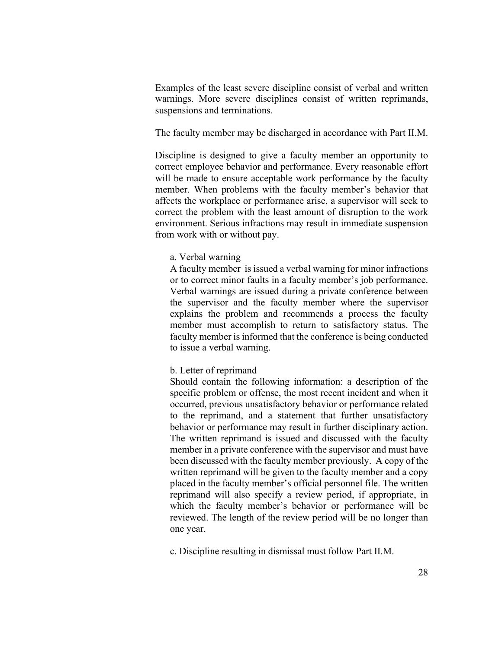Examples of the least severe discipline consist of verbal and written warnings. More severe disciplines consist of written reprimands, suspensions and terminations.

The faculty member may be discharged in accordance with Part II.M.

Discipline is designed to give a faculty member an opportunity to correct employee behavior and performance. Every reasonable effort will be made to ensure acceptable work performance by the faculty member. When problems with the faculty member's behavior that affects the workplace or performance arise, a supervisor will seek to correct the problem with the least amount of disruption to the work environment. Serious infractions may result in immediate suspension from work with or without pay.

#### a. Verbal warning

A faculty member is issued a verbal warning for minor infractions or to correct minor faults in a faculty member's job performance. Verbal warnings are issued during a private conference between the supervisor and the faculty member where the supervisor explains the problem and recommends a process the faculty member must accomplish to return to satisfactory status. The faculty member is informed that the conference is being conducted to issue a verbal warning.

#### b. Letter of reprimand

Should contain the following information: a description of the specific problem or offense, the most recent incident and when it occurred, previous unsatisfactory behavior or performance related to the reprimand, and a statement that further unsatisfactory behavior or performance may result in further disciplinary action. The written reprimand is issued and discussed with the faculty member in a private conference with the supervisor and must have been discussed with the faculty member previously. A copy of the written reprimand will be given to the faculty member and a copy placed in the faculty member's official personnel file. The written reprimand will also specify a review period, if appropriate, in which the faculty member's behavior or performance will be reviewed. The length of the review period will be no longer than one year.

c. Discipline resulting in dismissal must follow Part II.M.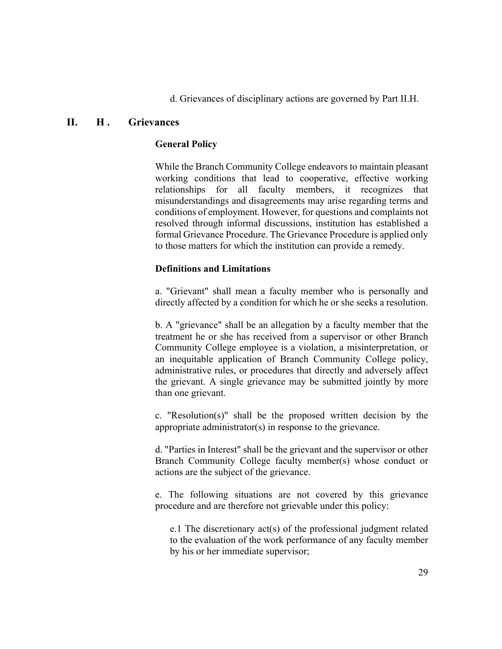d. Grievances of disciplinary actions are governed by Part II.H.

# **II. H . Grievances**

### **General Policy**

While the Branch Community College endeavors to maintain pleasant working conditions that lead to cooperative, effective working relationships for all faculty members, it recognizes that misunderstandings and disagreements may arise regarding terms and conditions of employment. However, for questions and complaints not resolved through informal discussions, institution has established a formal Grievance Procedure. The Grievance Procedure is applied only to those matters for which the institution can provide a remedy.

### **Definitions and Limitations**

a. "Grievant" shall mean a faculty member who is personally and directly affected by a condition for which he or she seeks a resolution.

b. A "grievance" shall be an allegation by a faculty member that the treatment he or she has received from a supervisor or other Branch Community College employee is a violation, a misinterpretation, or an inequitable application of Branch Community College policy, administrative rules, or procedures that directly and adversely affect the grievant. A single grievance may be submitted jointly by more than one grievant.

c. "Resolution(s)" shall be the proposed written decision by the appropriate administrator(s) in response to the grievance.

d. "Parties in Interest" shall be the grievant and the supervisor or other Branch Community College faculty member(s) whose conduct or actions are the subject of the grievance.

e. The following situations are not covered by this grievance procedure and are therefore not grievable under this policy:

e.1 The discretionary act(s) of the professional judgment related to the evaluation of the work performance of any faculty member by his or her immediate supervisor;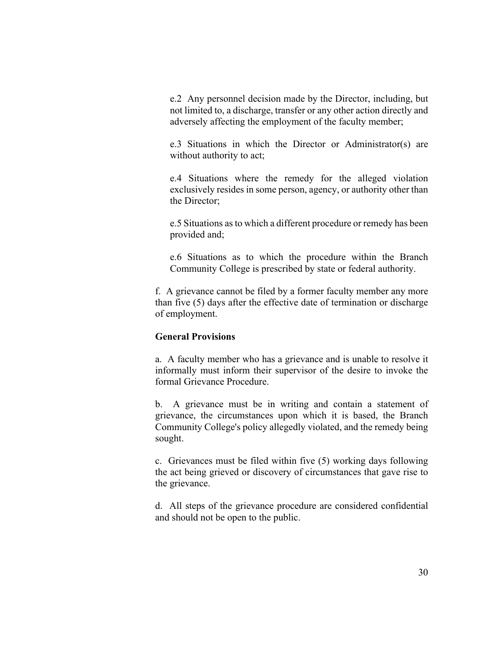e.2 Any personnel decision made by the Director, including, but not limited to, a discharge, transfer or any other action directly and adversely affecting the employment of the faculty member;

e.3 Situations in which the Director or Administrator(s) are without authority to act;

e.4 Situations where the remedy for the alleged violation exclusively resides in some person, agency, or authority other than the Director;

e.5 Situations as to which a different procedure or remedy has been provided and;

e.6 Situations as to which the procedure within the Branch Community College is prescribed by state or federal authority.

f. A grievance cannot be filed by a former faculty member any more than five (5) days after the effective date of termination or discharge of employment.

### **General Provisions**

a. A faculty member who has a grievance and is unable to resolve it informally must inform their supervisor of the desire to invoke the formal Grievance Procedure.

b. A grievance must be in writing and contain a statement of grievance, the circumstances upon which it is based, the Branch Community College's policy allegedly violated, and the remedy being sought.

c. Grievances must be filed within five (5) working days following the act being grieved or discovery of circumstances that gave rise to the grievance.

d. All steps of the grievance procedure are considered confidential and should not be open to the public.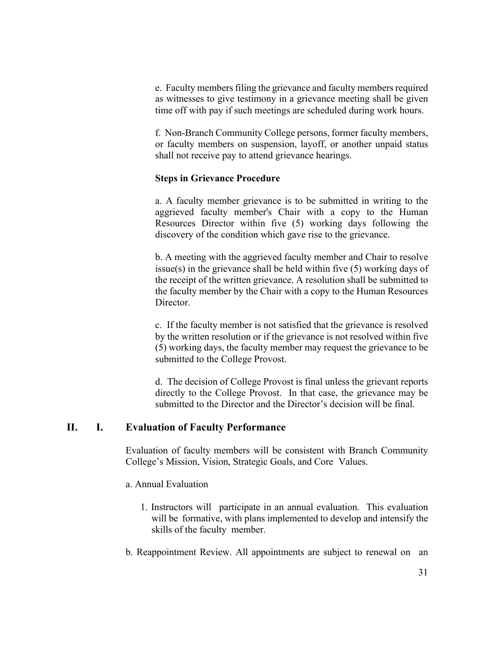e. Faculty members filing the grievance and faculty members required as witnesses to give testimony in a grievance meeting shall be given time off with pay if such meetings are scheduled during work hours.

f. Non-Branch Community College persons, former faculty members, or faculty members on suspension, layoff, or another unpaid status shall not receive pay to attend grievance hearings.

#### **Steps in Grievance Procedure**

a. A faculty member grievance is to be submitted in writing to the aggrieved faculty member's Chair with a copy to the Human Resources Director within five (5) working days following the discovery of the condition which gave rise to the grievance.

b. A meeting with the aggrieved faculty member and Chair to resolve issue(s) in the grievance shall be held within five (5) working days of the receipt of the written grievance. A resolution shall be submitted to the faculty member by the Chair with a copy to the Human Resources Director.

c. If the faculty member is not satisfied that the grievance is resolved by the written resolution or if the grievance is not resolved within five (5) working days, the faculty member may request the grievance to be submitted to the College Provost.

d. The decision of College Provost is final unless the grievant reports directly to the College Provost. In that case, the grievance may be submitted to the Director and the Director's decision will be final.

### **II. I. Evaluation of Faculty Performance**

Evaluation of faculty members will be consistent with Branch Community College's Mission, Vision, Strategic Goals, and Core Values.

#### a. Annual Evaluation

- 1. Instructors will participate in an annual evaluation. This evaluation will be formative, with plans implemented to develop and intensify the skills of the faculty member.
- b. Reappointment Review. All appointments are subject to renewal on an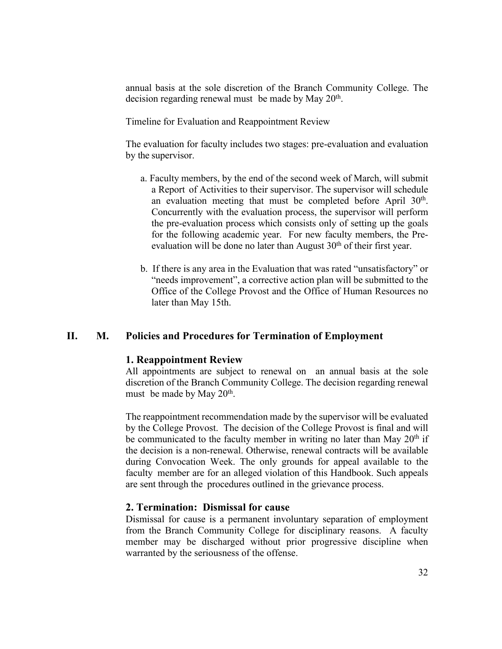annual basis at the sole discretion of the Branch Community College. The decision regarding renewal must be made by May 20<sup>th</sup>.

Timeline for Evaluation and Reappointment Review

The evaluation for faculty includes two stages: pre-evaluation and evaluation by the supervisor.

- a. Faculty members, by the end of the second week of March, will submit a Report of Activities to their supervisor. The supervisor will schedule an evaluation meeting that must be completed before April 30<sup>th</sup>. Concurrently with the evaluation process, the supervisor will perform the pre-evaluation process which consists only of setting up the goals for the following academic year. For new faculty members, the Preevaluation will be done no later than August  $30<sup>th</sup>$  of their first year.
- b. If there is any area in the Evaluation that was rated "unsatisfactory" or "needs improvement", a corrective action plan will be submitted to the Office of the College Provost and the Office of Human Resources no later than May 15th.

#### **II. M. Policies and Procedures for Termination of Employment**

#### **1. Reappointment Review**

All appointments are subject to renewal on an annual basis at the sole discretion of the Branch Community College. The decision regarding renewal must be made by May  $20<sup>th</sup>$ .

The reappointment recommendation made by the supervisor will be evaluated by the College Provost. The decision of the College Provost is final and will be communicated to the faculty member in writing no later than May  $20<sup>th</sup>$  if the decision is a non-renewal. Otherwise, renewal contracts will be available during Convocation Week. The only grounds for appeal available to the faculty member are for an alleged violation of this Handbook. Such appeals are sent through the procedures outlined in the grievance process.

### **2. Termination: Dismissal for cause**

Dismissal for cause is a permanent involuntary separation of employment from the Branch Community College for disciplinary reasons. A faculty member may be discharged without prior progressive discipline when warranted by the seriousness of the offense.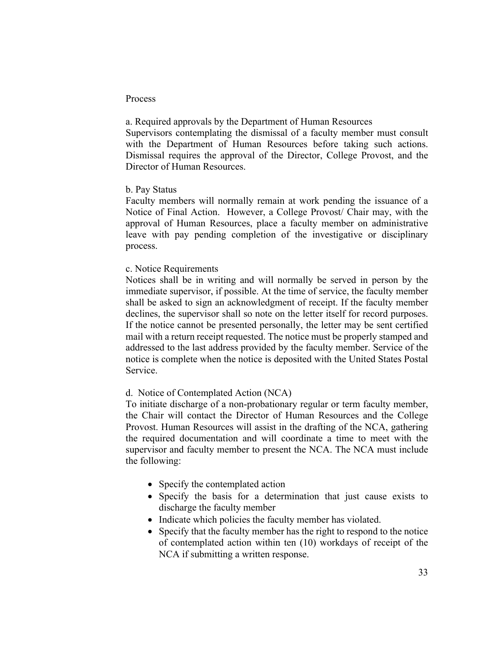#### Process

a. Required approvals by the Department of Human Resources Supervisors contemplating the dismissal of a faculty member must consult with the Department of Human Resources before taking such actions. Dismissal requires the approval of the Director, College Provost, and the Director of Human Resources.

#### b. Pay Status

Faculty members will normally remain at work pending the issuance of a Notice of Final Action. However, a College Provost/ Chair may, with the approval of Human Resources, place a faculty member on administrative leave with pay pending completion of the investigative or disciplinary process.

#### c. Notice Requirements

Notices shall be in writing and will normally be served in person by the immediate supervisor, if possible. At the time of service, the faculty member shall be asked to sign an acknowledgment of receipt. If the faculty member declines, the supervisor shall so note on the letter itself for record purposes. If the notice cannot be presented personally, the letter may be sent certified mail with a return receipt requested. The notice must be properly stamped and addressed to the last address provided by the faculty member. Service of the notice is complete when the notice is deposited with the United States Postal Service.

### d. Notice of Contemplated Action (NCA)

To initiate discharge of a non-probationary regular or term faculty member, the Chair will contact the Director of Human Resources and the College Provost. Human Resources will assist in the drafting of the NCA, gathering the required documentation and will coordinate a time to meet with the supervisor and faculty member to present the NCA. The NCA must include the following:

- Specify the contemplated action
- Specify the basis for a determination that just cause exists to discharge the faculty member
- Indicate which policies the faculty member has violated.
- Specify that the faculty member has the right to respond to the notice of contemplated action within ten (10) workdays of receipt of the NCA if submitting a written response.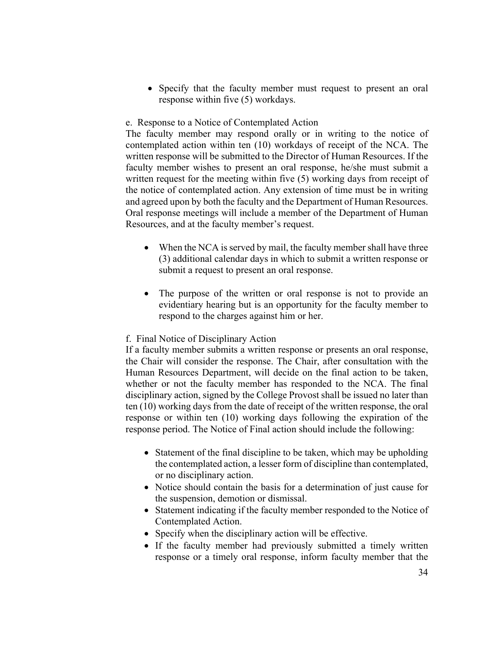• Specify that the faculty member must request to present an oral response within five (5) workdays.

### e. Response to a Notice of Contemplated Action

The faculty member may respond orally or in writing to the notice of contemplated action within ten (10) workdays of receipt of the NCA. The written response will be submitted to the Director of Human Resources. If the faculty member wishes to present an oral response, he/she must submit a written request for the meeting within five (5) working days from receipt of the notice of contemplated action. Any extension of time must be in writing and agreed upon by both the faculty and the Department of Human Resources. Oral response meetings will include a member of the Department of Human Resources, and at the faculty member's request.

- When the NCA is served by mail, the faculty member shall have three (3) additional calendar days in which to submit a written response or submit a request to present an oral response.
- The purpose of the written or oral response is not to provide an evidentiary hearing but is an opportunity for the faculty member to respond to the charges against him or her.

#### f. Final Notice of Disciplinary Action

If a faculty member submits a written response or presents an oral response, the Chair will consider the response. The Chair, after consultation with the Human Resources Department, will decide on the final action to be taken, whether or not the faculty member has responded to the NCA. The final disciplinary action, signed by the College Provost shall be issued no later than ten (10) working days from the date of receipt of the written response, the oral response or within ten (10) working days following the expiration of the response period. The Notice of Final action should include the following:

- Statement of the final discipline to be taken, which may be upholding the contemplated action, a lesser form of discipline than contemplated, or no disciplinary action.
- Notice should contain the basis for a determination of just cause for the suspension, demotion or dismissal.
- Statement indicating if the faculty member responded to the Notice of Contemplated Action.
- Specify when the disciplinary action will be effective.
- If the faculty member had previously submitted a timely written response or a timely oral response, inform faculty member that the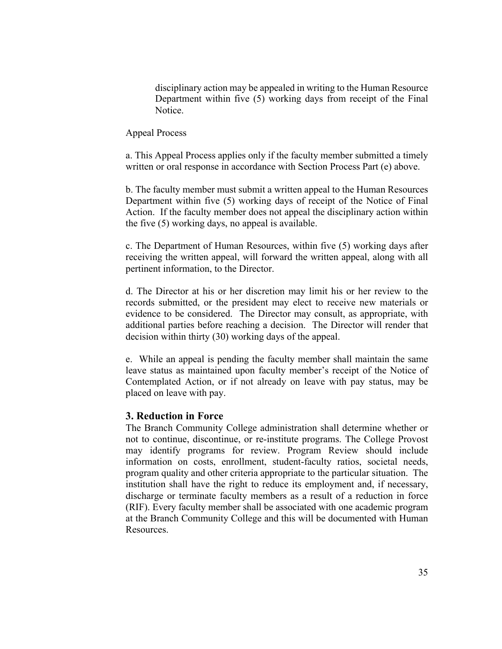disciplinary action may be appealed in writing to the Human Resource Department within five (5) working days from receipt of the Final Notice.

Appeal Process

a. This Appeal Process applies only if the faculty member submitted a timely written or oral response in accordance with Section Process Part (e) above.

b. The faculty member must submit a written appeal to the Human Resources Department within five (5) working days of receipt of the Notice of Final Action. If the faculty member does not appeal the disciplinary action within the five (5) working days, no appeal is available.

c. The Department of Human Resources, within five (5) working days after receiving the written appeal, will forward the written appeal, along with all pertinent information, to the Director.

d. The Director at his or her discretion may limit his or her review to the records submitted, or the president may elect to receive new materials or evidence to be considered. The Director may consult, as appropriate, with additional parties before reaching a decision. The Director will render that decision within thirty (30) working days of the appeal.

e. While an appeal is pending the faculty member shall maintain the same leave status as maintained upon faculty member's receipt of the Notice of Contemplated Action, or if not already on leave with pay status, may be placed on leave with pay.

### **3. Reduction in Force**

The Branch Community College administration shall determine whether or not to continue, discontinue, or re-institute programs. The College Provost may identify programs for review. Program Review should include information on costs, enrollment, student-faculty ratios, societal needs, program quality and other criteria appropriate to the particular situation. The institution shall have the right to reduce its employment and, if necessary, discharge or terminate faculty members as a result of a reduction in force (RIF). Every faculty member shall be associated with one academic program at the Branch Community College and this will be documented with Human Resources.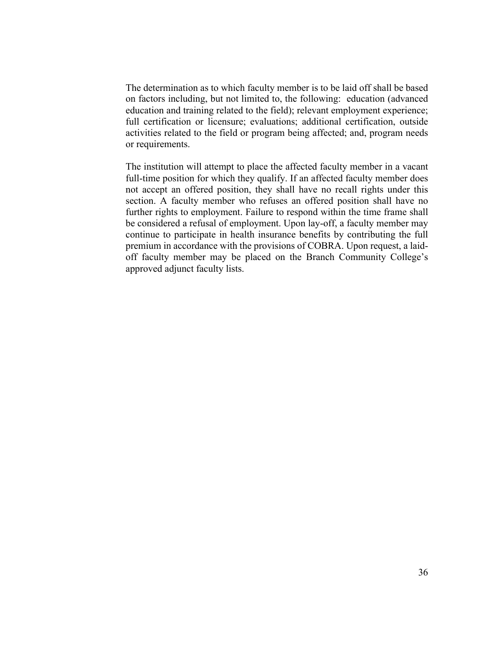The determination as to which faculty member is to be laid off shall be based on factors including, but not limited to, the following: education (advanced education and training related to the field); relevant employment experience; full certification or licensure; evaluations; additional certification, outside activities related to the field or program being affected; and, program needs or requirements.

The institution will attempt to place the affected faculty member in a vacant full-time position for which they qualify. If an affected faculty member does not accept an offered position, they shall have no recall rights under this section. A faculty member who refuses an offered position shall have no further rights to employment. Failure to respond within the time frame shall be considered a refusal of employment. Upon lay-off, a faculty member may continue to participate in health insurance benefits by contributing the full premium in accordance with the provisions of COBRA. Upon request, a laidoff faculty member may be placed on the Branch Community College's approved adjunct faculty lists.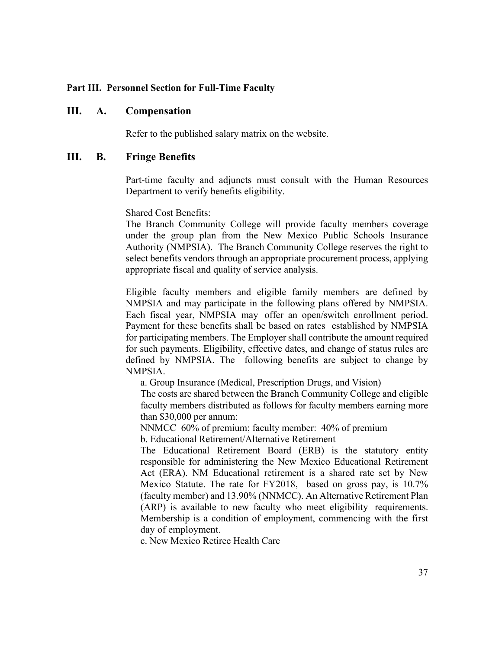### **Part III. Personnel Section for Full-Time Faculty**

### **III. A. Compensation**

Refer to the published salary matrix on the website.

### **III. B. Fringe Benefits**

Part-time faculty and adjuncts must consult with the Human Resources Department to verify benefits eligibility.

Shared Cost Benefits:

The Branch Community College will provide faculty members coverage under the group plan from the New Mexico Public Schools Insurance Authority (NMPSIA). The Branch Community College reserves the right to select benefits vendors through an appropriate procurement process, applying appropriate fiscal and quality of service analysis.

Eligible faculty members and eligible family members are defined by NMPSIA and may participate in the following plans offered by NMPSIA. Each fiscal year, NMPSIA may offer an open/switch enrollment period. Payment for these benefits shall be based on rates established by NMPSIA for participating members. The Employer shall contribute the amount required for such payments. Eligibility, effective dates, and change of status rules are defined by NMPSIA. The following benefits are subject to change by NMPSIA.

a. Group Insurance (Medical, Prescription Drugs, and Vision)

The costs are shared between the Branch Community College and eligible faculty members distributed as follows for faculty members earning more than \$30,000 per annum:

NNMCC 60% of premium; faculty member: 40% of premium

b. Educational Retirement/Alternative Retirement

The Educational Retirement Board (ERB) is the statutory entity responsible for administering the New Mexico Educational Retirement Act (ERA). NM Educational retirement is a shared rate set by New Mexico Statute. The rate for FY2018, based on gross pay, is 10.7% (faculty member) and 13.90% (NNMCC). An Alternative Retirement Plan (ARP) is available to new faculty who meet eligibility requirements. Membership is a condition of employment, commencing with the first day of employment.

c. New Mexico Retiree Health Care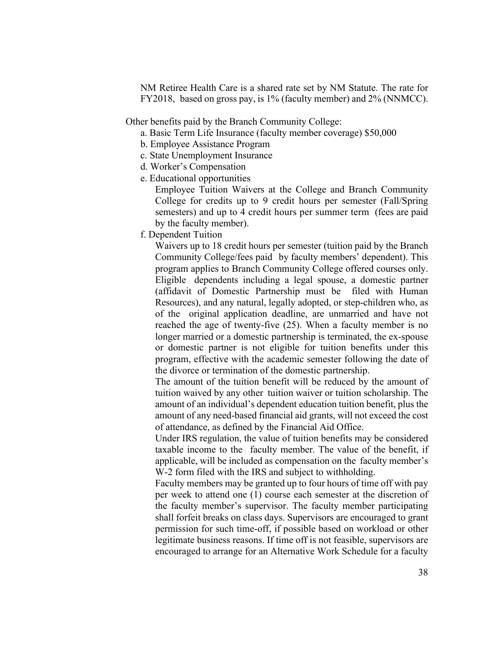NM Retiree Health Care is a shared rate set by NM Statute. The rate for FY2018, based on gross pay, is 1% (faculty member) and 2% (NNMCC).

Other benefits paid by the Branch Community College:

a. Basic Term Life Insurance (faculty member coverage) \$50,000

- b. Employee Assistance Program
- c. State Unemployment Insurance
- d. Worker's Compensation
- e. Educational opportunities

Employee Tuition Waivers at the College and Branch Community College for credits up to 9 credit hours per semester (Fall/Spring semesters) and up to 4 credit hours per summer term (fees are paid by the faculty member).

f. Dependent Tuition

Waivers up to 18 credit hours per semester (tuition paid by the Branch Community College/fees paid by faculty members' dependent). This program applies to Branch Community College offered courses only. Eligible dependents including a legal spouse, a domestic partner (affidavit of Domestic Partnership must be filed with Human Resources), and any natural, legally adopted, or step-children who, as of the original application deadline, are unmarried and have not reached the age of twenty-five (25). When a faculty member is no longer married or a domestic partnership is terminated, the ex-spouse or domestic partner is not eligible for tuition benefits under this program, effective with the academic semester following the date of the divorce or termination of the domestic partnership.

The amount of the tuition benefit will be reduced by the amount of tuition waived by any other tuition waiver or tuition scholarship. The amount of an individual's dependent education tuition benefit, plus the amount of any need-based financial aid grants, will not exceed the cost of attendance, as defined by the Financial Aid Office.

Under IRS regulation, the value of tuition benefits may be considered taxable income to the faculty member. The value of the benefit, if applicable, will be included as compensation on the faculty member's W-2 form filed with the IRS and subject to withholding.

Faculty members may be granted up to four hours of time off with pay per week to attend one (1) course each semester at the discretion of the faculty member's supervisor. The faculty member participating shall forfeit breaks on class days. Supervisors are encouraged to grant permission for such time-off, if possible based on workload or other legitimate business reasons. If time off is not feasible, supervisors are encouraged to arrange for an Alternative Work Schedule for a faculty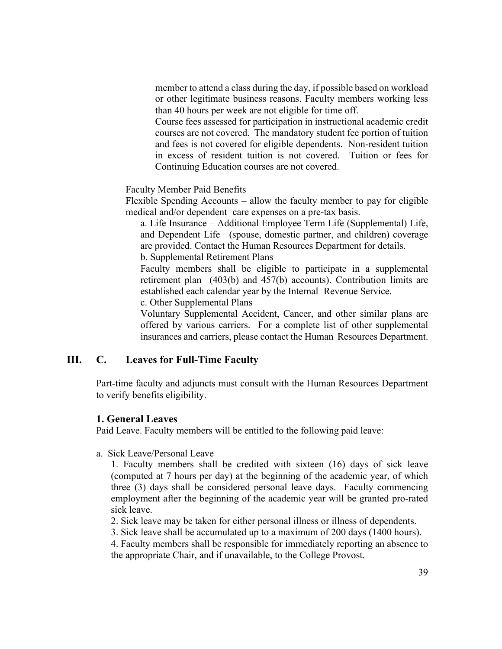member to attend a class during the day, if possible based on workload or other legitimate business reasons. Faculty members working less than 40 hours per week are not eligible for time off.

Course fees assessed for participation in instructional academic credit courses are not covered. The mandatory student fee portion of tuition and fees is not covered for eligible dependents. Non-resident tuition in excess of resident tuition is not covered. Tuition or fees for Continuing Education courses are not covered.

Faculty Member Paid Benefits

Flexible Spending Accounts – allow the faculty member to pay for eligible medical and/or dependent care expenses on a pre-tax basis.

a. Life Insurance – Additional Employee Term Life (Supplemental) Life, and Dependent Life (spouse, domestic partner, and children) coverage are provided. Contact the Human Resources Department for details. b. Supplemental Retirement Plans

Faculty members shall be eligible to participate in a supplemental retirement plan (403(b) and 457(b) accounts). Contribution limits are established each calendar year by the Internal Revenue Service.

c. Other Supplemental Plans

Voluntary Supplemental Accident, Cancer, and other similar plans are offered by various carriers. For a complete list of other supplemental insurances and carriers, please contact the Human Resources Department.

### **III. C. Leaves for Full-Time Faculty**

Part-time faculty and adjuncts must consult with the Human Resources Department to verify benefits eligibility.

### **1. General Leaves**

Paid Leave. Faculty members will be entitled to the following paid leave:

a. Sick Leave/Personal Leave

1. Faculty members shall be credited with sixteen (16) days of sick leave (computed at 7 hours per day) at the beginning of the academic year, of which three (3) days shall be considered personal leave days. Faculty commencing employment after the beginning of the academic year will be granted pro-rated sick leave.

- 2. Sick leave may be taken for either personal illness or illness of dependents.
- 3. Sick leave shall be accumulated up to a maximum of 200 days (1400 hours).

4. Faculty members shall be responsible for immediately reporting an absence to the appropriate Chair, and if unavailable, to the College Provost.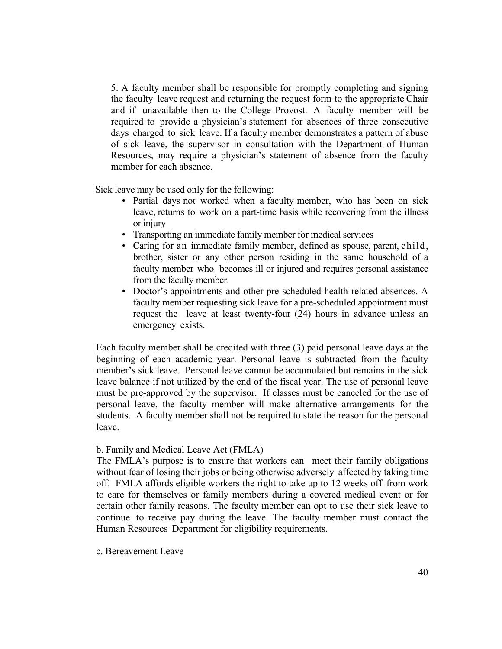5. A faculty member shall be responsible for promptly completing and signing the faculty leave request and returning the request form to the appropriate Chair and if unavailable then to the College Provost. A faculty member will be required to provide a physician's statement for absences of three consecutive days charged to sick leave. If a faculty member demonstrates a pattern of abuse of sick leave, the supervisor in consultation with the Department of Human Resources, may require a physician's statement of absence from the faculty member for each absence.

Sick leave may be used only for the following:

- Partial days not worked when a faculty member, who has been on sick leave, returns to work on a part-time basis while recovering from the illness or injury
- Transporting an immediate family member for medical services
- Caring for an immediate family member, defined as spouse, parent, child, brother, sister or any other person residing in the same household of a faculty member who becomes ill or injured and requires personal assistance from the faculty member.
- Doctor's appointments and other pre-scheduled health-related absences. A faculty member requesting sick leave for a pre-scheduled appointment must request the leave at least twenty-four (24) hours in advance unless an emergency exists.

Each faculty member shall be credited with three (3) paid personal leave days at the beginning of each academic year. Personal leave is subtracted from the faculty member's sick leave. Personal leave cannot be accumulated but remains in the sick leave balance if not utilized by the end of the fiscal year. The use of personal leave must be pre-approved by the supervisor. If classes must be canceled for the use of personal leave, the faculty member will make alternative arrangements for the students. A faculty member shall not be required to state the reason for the personal leave.

#### b. Family and Medical Leave Act (FMLA)

The FMLA's purpose is to ensure that workers can meet their family obligations without fear of losing their jobs or being otherwise adversely affected by taking time off. FMLA affords eligible workers the right to take up to 12 weeks off from work to care for themselves or family members during a covered medical event or for certain other family reasons. The faculty member can opt to use their sick leave to continue to receive pay during the leave. The faculty member must contact the Human Resources Department for eligibility requirements.

#### c. Bereavement Leave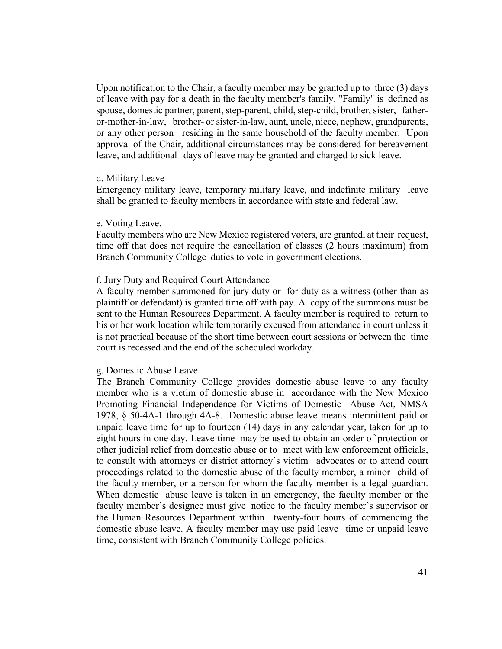Upon notification to the Chair, a faculty member may be granted up to three (3) days of leave with pay for a death in the faculty member's family. "Family" is defined as spouse, domestic partner, parent, step-parent, child, step-child, brother, sister, fatheror-mother-in-law, brother- or sister-in-law, aunt, uncle, niece, nephew, grandparents, or any other person residing in the same household of the faculty member. Upon approval of the Chair, additional circumstances may be considered for bereavement leave, and additional days of leave may be granted and charged to sick leave.

#### d. Military Leave

Emergency military leave, temporary military leave, and indefinite military leave shall be granted to faculty members in accordance with state and federal law.

#### e. Voting Leave.

Faculty members who are New Mexico registered voters, are granted, at their request, time off that does not require the cancellation of classes (2 hours maximum) from Branch Community College duties to vote in government elections.

#### f. Jury Duty and Required Court Attendance

A faculty member summoned for jury duty or for duty as a witness (other than as plaintiff or defendant) is granted time off with pay. A copy of the summons must be sent to the Human Resources Department. A faculty member is required to return to his or her work location while temporarily excused from attendance in court unless it is not practical because of the short time between court sessions or between the time court is recessed and the end of the scheduled workday.

#### g. Domestic Abuse Leave

The Branch Community College provides domestic abuse leave to any faculty member who is a victim of domestic abuse in accordance with the New Mexico Promoting Financial Independence for Victims of Domestic Abuse Act, NMSA 1978, § 50-4A-1 through 4A-8. Domestic abuse leave means intermittent paid or unpaid leave time for up to fourteen (14) days in any calendar year, taken for up to eight hours in one day. Leave time may be used to obtain an order of protection or other judicial relief from domestic abuse or to meet with law enforcement officials, to consult with attorneys or district attorney's victim advocates or to attend court proceedings related to the domestic abuse of the faculty member, a minor child of the faculty member, or a person for whom the faculty member is a legal guardian. When domestic abuse leave is taken in an emergency, the faculty member or the faculty member's designee must give notice to the faculty member's supervisor or the Human Resources Department within twenty-four hours of commencing the domestic abuse leave. A faculty member may use paid leave time or unpaid leave time, consistent with Branch Community College policies.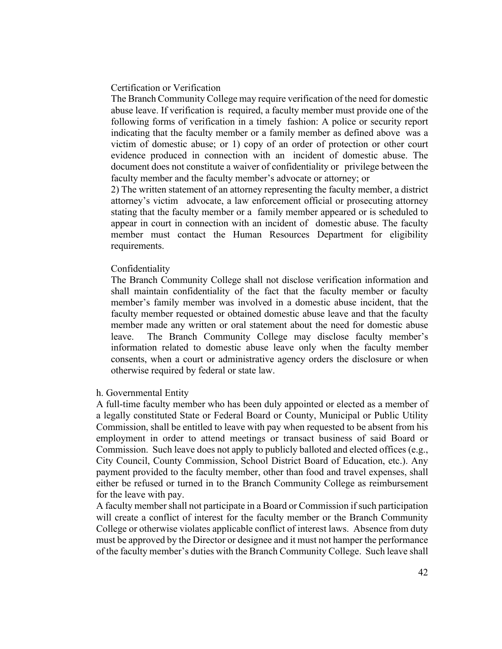#### Certification or Verification

The Branch Community College may require verification of the need for domestic abuse leave. If verification is required, a faculty member must provide one of the following forms of verification in a timely fashion: A police or security report indicating that the faculty member or a family member as defined above was a victim of domestic abuse; or 1) copy of an order of protection or other court evidence produced in connection with an incident of domestic abuse. The document does not constitute a waiver of confidentiality or privilege between the faculty member and the faculty member's advocate or attorney; or

2) The written statement of an attorney representing the faculty member, a district attorney's victim advocate, a law enforcement official or prosecuting attorney stating that the faculty member or a family member appeared or is scheduled to appear in court in connection with an incident of domestic abuse. The faculty member must contact the Human Resources Department for eligibility requirements.

#### Confidentiality

The Branch Community College shall not disclose verification information and shall maintain confidentiality of the fact that the faculty member or faculty member's family member was involved in a domestic abuse incident, that the faculty member requested or obtained domestic abuse leave and that the faculty member made any written or oral statement about the need for domestic abuse leave. The Branch Community College may disclose faculty member's information related to domestic abuse leave only when the faculty member consents, when a court or administrative agency orders the disclosure or when otherwise required by federal or state law.

#### h. Governmental Entity

A full-time faculty member who has been duly appointed or elected as a member of a legally constituted State or Federal Board or County, Municipal or Public Utility Commission, shall be entitled to leave with pay when requested to be absent from his employment in order to attend meetings or transact business of said Board or Commission. Such leave does not apply to publicly balloted and elected offices (e.g., City Council, County Commission, School District Board of Education, etc.). Any payment provided to the faculty member, other than food and travel expenses, shall either be refused or turned in to the Branch Community College as reimbursement for the leave with pay.

A faculty member shall not participate in a Board or Commission if such participation will create a conflict of interest for the faculty member or the Branch Community College or otherwise violates applicable conflict of interest laws. Absence from duty must be approved by the Director or designee and it must not hamper the performance of the faculty member's duties with the Branch Community College. Such leave shall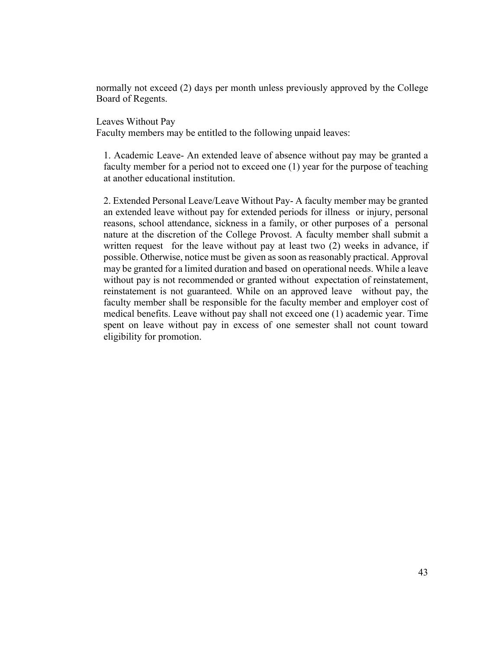normally not exceed (2) days per month unless previously approved by the College Board of Regents.

Leaves Without Pay

Faculty members may be entitled to the following unpaid leaves:

1. Academic Leave- An extended leave of absence without pay may be granted a faculty member for a period not to exceed one (1) year for the purpose of teaching at another educational institution.

2. Extended Personal Leave/Leave Without Pay- A faculty member may be granted an extended leave without pay for extended periods for illness or injury, personal reasons, school attendance, sickness in a family, or other purposes of a personal nature at the discretion of the College Provost. A faculty member shall submit a written request for the leave without pay at least two (2) weeks in advance, if possible. Otherwise, notice must be given as soon as reasonably practical. Approval may be granted for a limited duration and based on operational needs. While a leave without pay is not recommended or granted without expectation of reinstatement, reinstatement is not guaranteed. While on an approved leave without pay, the faculty member shall be responsible for the faculty member and employer cost of medical benefits. Leave without pay shall not exceed one (1) academic year. Time spent on leave without pay in excess of one semester shall not count toward eligibility for promotion.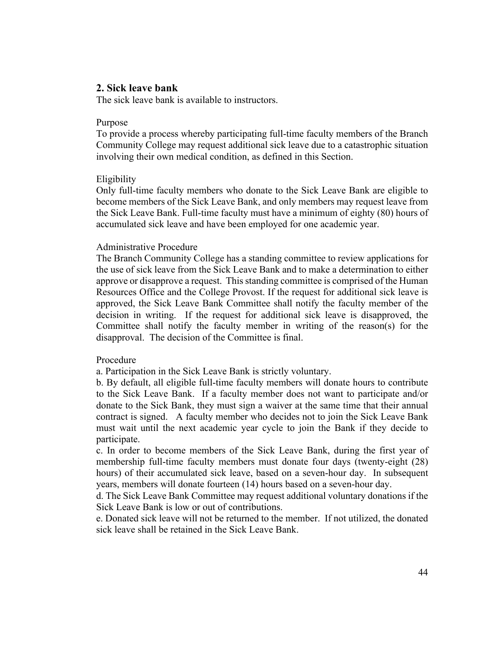### **2. Sick leave bank**

The sick leave bank is available to instructors.

#### Purpose

To provide a process whereby participating full-time faculty members of the Branch Community College may request additional sick leave due to a catastrophic situation involving their own medical condition, as defined in this Section.

#### Eligibility

Only full-time faculty members who donate to the Sick Leave Bank are eligible to become members of the Sick Leave Bank, and only members may request leave from the Sick Leave Bank. Full-time faculty must have a minimum of eighty (80) hours of accumulated sick leave and have been employed for one academic year.

#### Administrative Procedure

The Branch Community College has a standing committee to review applications for the use of sick leave from the Sick Leave Bank and to make a determination to either approve or disapprove a request. This standing committee is comprised of the Human Resources Office and the College Provost. If the request for additional sick leave is approved, the Sick Leave Bank Committee shall notify the faculty member of the decision in writing. If the request for additional sick leave is disapproved, the Committee shall notify the faculty member in writing of the reason(s) for the disapproval. The decision of the Committee is final.

#### Procedure

a. Participation in the Sick Leave Bank is strictly voluntary.

b. By default, all eligible full-time faculty members will donate hours to contribute to the Sick Leave Bank. If a faculty member does not want to participate and/or donate to the Sick Bank, they must sign a waiver at the same time that their annual contract is signed. A faculty member who decides not to join the Sick Leave Bank must wait until the next academic year cycle to join the Bank if they decide to participate.

c. In order to become members of the Sick Leave Bank, during the first year of membership full-time faculty members must donate four days (twenty-eight (28) hours) of their accumulated sick leave, based on a seven-hour day. In subsequent years, members will donate fourteen (14) hours based on a seven-hour day.

d. The Sick Leave Bank Committee may request additional voluntary donations if the Sick Leave Bank is low or out of contributions.

e. Donated sick leave will not be returned to the member. If not utilized, the donated sick leave shall be retained in the Sick Leave Bank.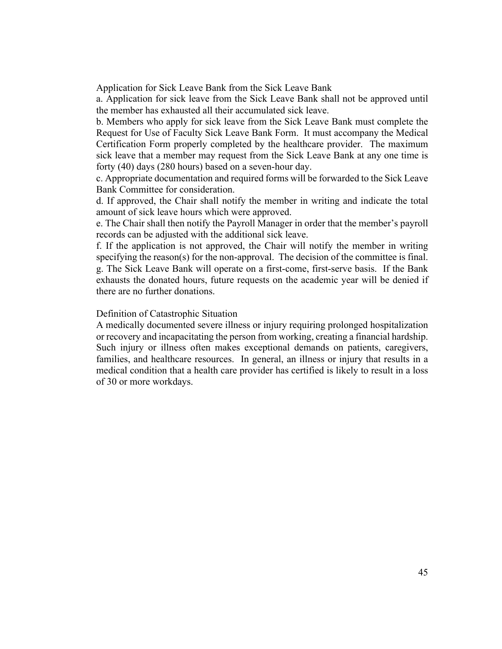Application for Sick Leave Bank from the Sick Leave Bank

a. Application for sick leave from the Sick Leave Bank shall not be approved until the member has exhausted all their accumulated sick leave.

b. Members who apply for sick leave from the Sick Leave Bank must complete the Request for Use of Faculty Sick Leave Bank Form. It must accompany the Medical Certification Form properly completed by the healthcare provider. The maximum sick leave that a member may request from the Sick Leave Bank at any one time is forty (40) days (280 hours) based on a seven-hour day.

c. Appropriate documentation and required forms will be forwarded to the Sick Leave Bank Committee for consideration.

d. If approved, the Chair shall notify the member in writing and indicate the total amount of sick leave hours which were approved.

e. The Chair shall then notify the Payroll Manager in order that the member's payroll records can be adjusted with the additional sick leave.

f. If the application is not approved, the Chair will notify the member in writing specifying the reason(s) for the non-approval. The decision of the committee is final. g. The Sick Leave Bank will operate on a first-come, first-serve basis. If the Bank exhausts the donated hours, future requests on the academic year will be denied if there are no further donations.

#### Definition of Catastrophic Situation

A medically documented severe illness or injury requiring prolonged hospitalization or recovery and incapacitating the person from working, creating a financial hardship. Such injury or illness often makes exceptional demands on patients, caregivers, families, and healthcare resources. In general, an illness or injury that results in a medical condition that a health care provider has certified is likely to result in a loss of 30 or more workdays.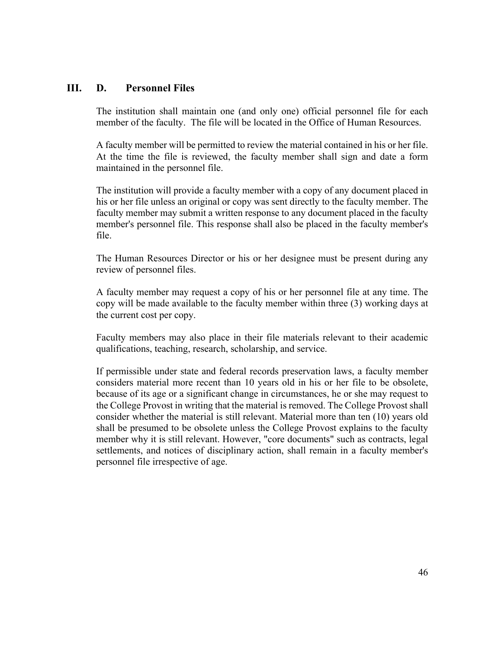# **III. D. Personnel Files**

The institution shall maintain one (and only one) official personnel file for each member of the faculty. The file will be located in the Office of Human Resources.

A faculty member will be permitted to review the material contained in his or her file. At the time the file is reviewed, the faculty member shall sign and date a form maintained in the personnel file.

The institution will provide a faculty member with a copy of any document placed in his or her file unless an original or copy was sent directly to the faculty member. The faculty member may submit a written response to any document placed in the faculty member's personnel file. This response shall also be placed in the faculty member's file.

The Human Resources Director or his or her designee must be present during any review of personnel files.

A faculty member may request a copy of his or her personnel file at any time. The copy will be made available to the faculty member within three (3) working days at the current cost per copy.

Faculty members may also place in their file materials relevant to their academic qualifications, teaching, research, scholarship, and service.

If permissible under state and federal records preservation laws, a faculty member considers material more recent than 10 years old in his or her file to be obsolete, because of its age or a significant change in circumstances, he or she may request to the College Provost in writing that the material is removed. The College Provost shall consider whether the material is still relevant. Material more than ten (10) years old shall be presumed to be obsolete unless the College Provost explains to the faculty member why it is still relevant. However, "core documents" such as contracts, legal settlements, and notices of disciplinary action, shall remain in a faculty member's personnel file irrespective of age.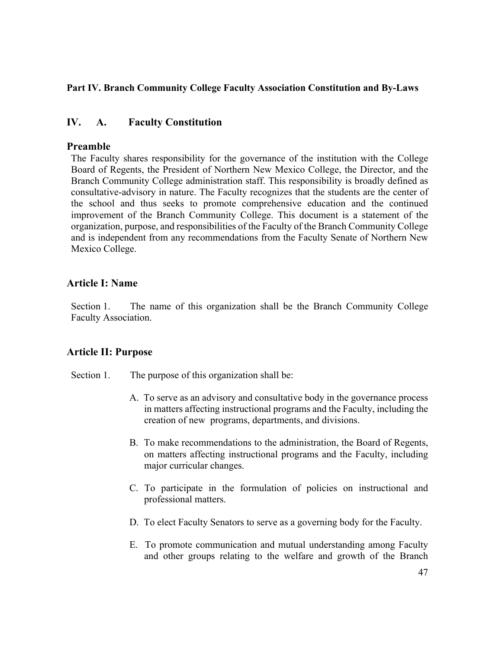# **Part IV. Branch Community College Faculty Association Constitution and By-Laws**

# **IV. A. Faculty Constitution**

# **Preamble**

The Faculty shares responsibility for the governance of the institution with the College Board of Regents, the President of Northern New Mexico College, the Director, and the Branch Community College administration staff. This responsibility is broadly defined as consultative-advisory in nature. The Faculty recognizes that the students are the center of the school and thus seeks to promote comprehensive education and the continued improvement of the Branch Community College. This document is a statement of the organization, purpose, and responsibilities of the Faculty of the Branch Community College and is independent from any recommendations from the Faculty Senate of Northern New Mexico College.

# **Article I: Name**

Section 1. The name of this organization shall be the Branch Community College Faculty Association.

# **Article II: Purpose**

Section 1. The purpose of this organization shall be:

- A. To serve as an advisory and consultative body in the governance process in matters affecting instructional programs and the Faculty, including the creation of new programs, departments, and divisions.
- B. To make recommendations to the administration, the Board of Regents, on matters affecting instructional programs and the Faculty, including major curricular changes.
- C. To participate in the formulation of policies on instructional and professional matters.
- D. To elect Faculty Senators to serve as a governing body for the Faculty.
- E. To promote communication and mutual understanding among Faculty and other groups relating to the welfare and growth of the Branch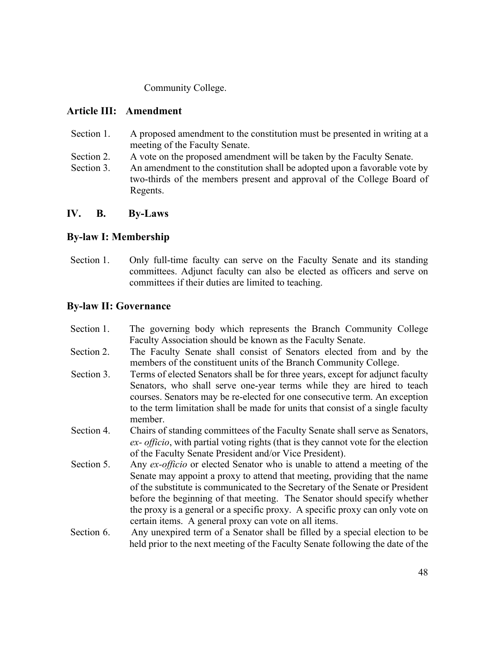Community College.

# **Article III: Amendment**

- Section 1. A proposed amendment to the constitution must be presented in writing at a meeting of the Faculty Senate.
- Section 2. A vote on the proposed amendment will be taken by the Faculty Senate.
- Section 3. An amendment to the constitution shall be adopted upon a favorable vote by two-thirds of the members present and approval of the College Board of Regents.

# **IV. B. By-Laws**

# **By-law I: Membership**

Section 1. Only full-time faculty can serve on the Faculty Senate and its standing committees. Adjunct faculty can also be elected as officers and serve on committees if their duties are limited to teaching.

# **By-law II: Governance**

Section 1. The governing body which represents the Branch Community College Faculty Association should be known as the Faculty Senate. Section 2. The Faculty Senate shall consist of Senators elected from and by the members of the constituent units of the Branch Community College. Section 3. Terms of elected Senators shall be for three years, except for adjunct faculty Senators, who shall serve one-year terms while they are hired to teach courses. Senators may be re-elected for one consecutive term. An exception to the term limitation shall be made for units that consist of a single faculty member. Section 4. Chairs of standing committees of the Faculty Senate shall serve as Senators, *ex- officio*, with partial voting rights (that is they cannot vote for the election of the Faculty Senate President and/or Vice President). Section 5. Any *ex-officio* or elected Senator who is unable to attend a meeting of the Senate may appoint a proxy to attend that meeting, providing that the name of the substitute is communicated to the Secretary of the Senate or President before the beginning of that meeting. The Senator should specify whether the proxy is a general or a specific proxy. A specific proxy can only vote on certain items. A general proxy can vote on all items. Section 6. Any unexpired term of a Senator shall be filled by a special election to be held prior to the next meeting of the Faculty Senate following the date of the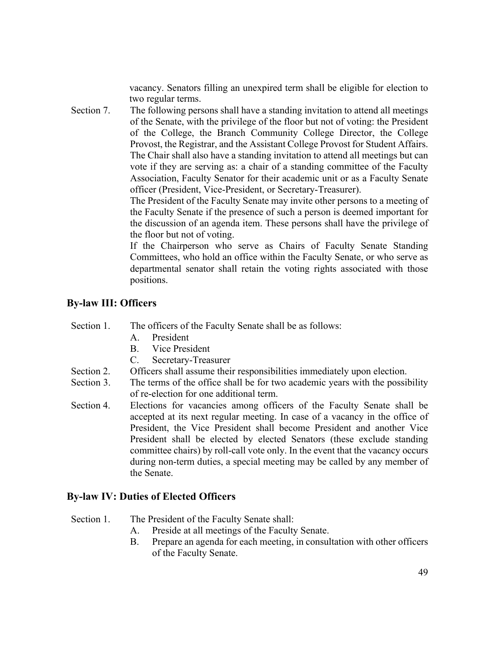vacancy. Senators filling an unexpired term shall be eligible for election to two regular terms.

Section 7. The following persons shall have a standing invitation to attend all meetings of the Senate, with the privilege of the floor but not of voting: the President of the College, the Branch Community College Director, the College Provost, the Registrar, and the Assistant College Provost for Student Affairs. The Chair shall also have a standing invitation to attend all meetings but can vote if they are serving as: a chair of a standing committee of the Faculty Association, Faculty Senator for their academic unit or as a Faculty Senate officer (President, Vice-President, or Secretary-Treasurer).

> The President of the Faculty Senate may invite other persons to a meeting of the Faculty Senate if the presence of such a person is deemed important for the discussion of an agenda item. These persons shall have the privilege of the floor but not of voting.

> If the Chairperson who serve as Chairs of Faculty Senate Standing Committees, who hold an office within the Faculty Senate, or who serve as departmental senator shall retain the voting rights associated with those positions.

# **By-law III: Officers**

Section 1. The officers of the Faculty Senate shall be as follows:

- A. President
- B. Vice President
- C. Secretary-Treasurer
- Section 2. Officers shall assume their responsibilities immediately upon election.
- Section 3. The terms of the office shall be for two academic years with the possibility of re-election for one additional term.
- Section 4. Elections for vacancies among officers of the Faculty Senate shall be accepted at its next regular meeting. In case of a vacancy in the office of President, the Vice President shall become President and another Vice President shall be elected by elected Senators (these exclude standing committee chairs) by roll-call vote only. In the event that the vacancy occurs during non-term duties, a special meeting may be called by any member of the Senate.

### **By-law IV: Duties of Elected Officers**

Section 1. The President of the Faculty Senate shall:

- A. Preside at all meetings of the Faculty Senate.
- B. Prepare an agenda for each meeting, in consultation with other officers of the Faculty Senate.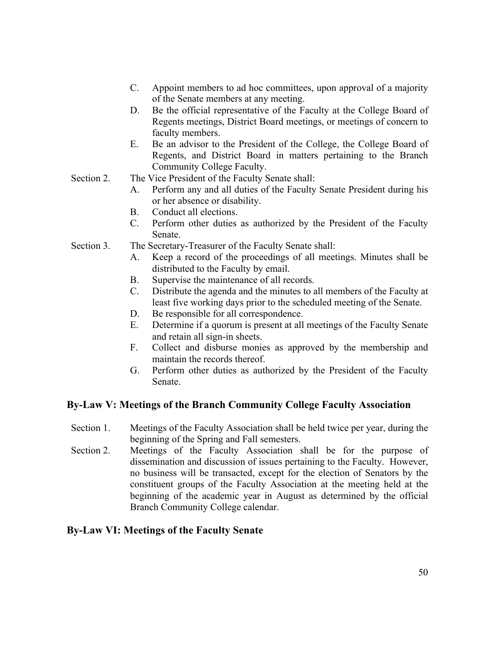- C. Appoint members to ad hoc committees, upon approval of a majority of the Senate members at any meeting.
- D. Be the official representative of the Faculty at the College Board of Regents meetings, District Board meetings, or meetings of concern to faculty members.
- E. Be an advisor to the President of the College, the College Board of Regents, and District Board in matters pertaining to the Branch Community College Faculty.
- Section 2. The Vice President of the Faculty Senate shall:
	- A. Perform any and all duties of the Faculty Senate President during his or her absence or disability.
	- B. Conduct all elections.
	- C. Perform other duties as authorized by the President of the Faculty Senate.
- Section 3. The Secretary-Treasurer of the Faculty Senate shall:
	- A. Keep a record of the proceedings of all meetings. Minutes shall be distributed to the Faculty by email.
	- B. Supervise the maintenance of all records.
	- C. Distribute the agenda and the minutes to all members of the Faculty at least five working days prior to the scheduled meeting of the Senate.
	- D. Be responsible for all correspondence.
	- E. Determine if a quorum is present at all meetings of the Faculty Senate and retain all sign-in sheets.
	- F. Collect and disburse monies as approved by the membership and maintain the records thereof.
	- G. Perform other duties as authorized by the President of the Faculty Senate.

# **By-Law V: Meetings of the Branch Community College Faculty Association**

- Section 1. Meetings of the Faculty Association shall be held twice per year, during the beginning of the Spring and Fall semesters.
- Section 2. Meetings of the Faculty Association shall be for the purpose of dissemination and discussion of issues pertaining to the Faculty. However, no business will be transacted, except for the election of Senators by the constituent groups of the Faculty Association at the meeting held at the beginning of the academic year in August as determined by the official Branch Community College calendar.

# **By-Law VI: Meetings of the Faculty Senate**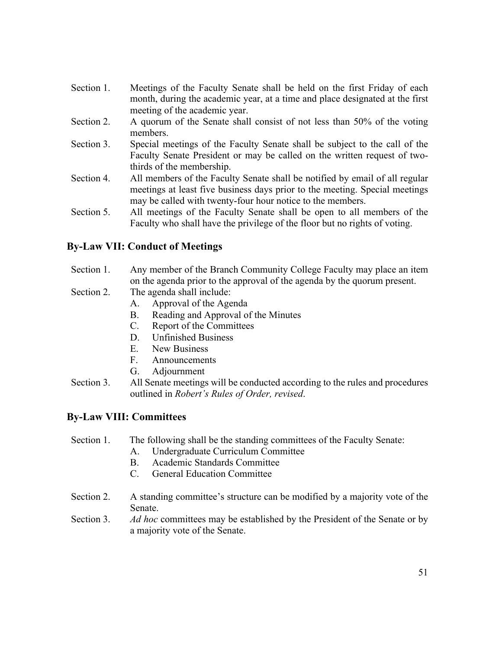- Section 1. Meetings of the Faculty Senate shall be held on the first Friday of each month, during the academic year, at a time and place designated at the first meeting of the academic year.
- Section 2. A quorum of the Senate shall consist of not less than 50% of the voting members.
- Section 3. Special meetings of the Faculty Senate shall be subject to the call of the Faculty Senate President or may be called on the written request of twothirds of the membership.
- Section 4. All members of the Faculty Senate shall be notified by email of all regular meetings at least five business days prior to the meeting. Special meetings may be called with twenty-four hour notice to the members.
- Section 5. All meetings of the Faculty Senate shall be open to all members of the Faculty who shall have the privilege of the floor but no rights of voting.

# **By-Law VII: Conduct of Meetings**

### Section 1. Any member of the Branch Community College Faculty may place an item on the agenda prior to the approval of the agenda by the quorum present.

- Section 2. The agenda shall include:
	- A. Approval of the Agenda
	- B. Reading and Approval of the Minutes
	- C. Report of the Committees
	- D. Unfinished Business
	- E. New Business
	- F. Announcements
	- G. Adjournment
- Section 3. All Senate meetings will be conducted according to the rules and procedures outlined in *Robert's Rules of Order, revised*.

# **By-Law VIII: Committees**

# Section 1. The following shall be the standing committees of the Faculty Senate:

- A. Undergraduate Curriculum Committee
- B. Academic Standards Committee
- C. General Education Committee
- Section 2. A standing committee's structure can be modified by a majority vote of the Senate.
- Section 3. *Ad hoc* committees may be established by the President of the Senate or by a majority vote of the Senate.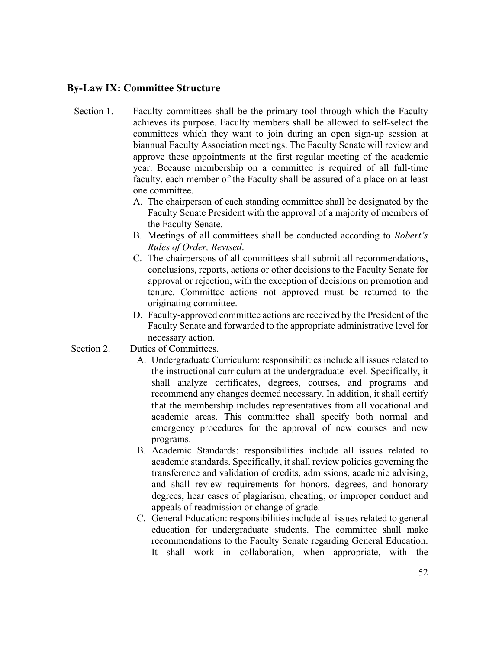### **By-Law IX: Committee Structure**

- Section 1. Faculty committees shall be the primary tool through which the Faculty achieves its purpose. Faculty members shall be allowed to self-select the committees which they want to join during an open sign-up session at biannual Faculty Association meetings. The Faculty Senate will review and approve these appointments at the first regular meeting of the academic year. Because membership on a committee is required of all full-time faculty, each member of the Faculty shall be assured of a place on at least one committee.
	- A. The chairperson of each standing committee shall be designated by the Faculty Senate President with the approval of a majority of members of the Faculty Senate.
	- B. Meetings of all committees shall be conducted according to *Robert's Rules of Order, Revised*.
	- C. The chairpersons of all committees shall submit all recommendations, conclusions, reports, actions or other decisions to the Faculty Senate for approval or rejection, with the exception of decisions on promotion and tenure. Committee actions not approved must be returned to the originating committee.
	- D. Faculty-approved committee actions are received by the President of the Faculty Senate and forwarded to the appropriate administrative level for necessary action.
- Section 2. Duties of Committees.
	- A. Undergraduate Curriculum: responsibilities include all issues related to the instructional curriculum at the undergraduate level. Specifically, it shall analyze certificates, degrees, courses, and programs and recommend any changes deemed necessary. In addition, it shall certify that the membership includes representatives from all vocational and academic areas. This committee shall specify both normal and emergency procedures for the approval of new courses and new programs.
	- B. Academic Standards: responsibilities include all issues related to academic standards. Specifically, it shall review policies governing the transference and validation of credits, admissions, academic advising, and shall review requirements for honors, degrees, and honorary degrees, hear cases of plagiarism, cheating, or improper conduct and appeals of readmission or change of grade.
	- C. General Education: responsibilities include all issues related to general education for undergraduate students. The committee shall make recommendations to the Faculty Senate regarding General Education. It shall work in collaboration, when appropriate, with the